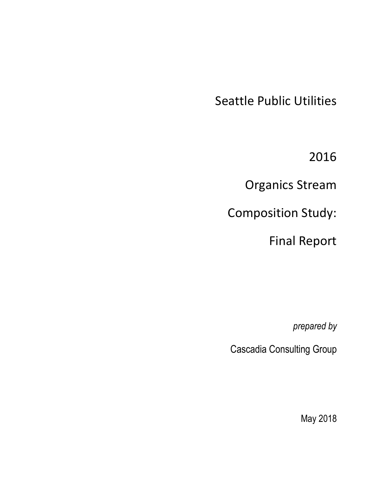Seattle Public Utilities

2016

Organics Stream

Composition Study:

Final Report

*prepared by* 

Cascadia Consulting Group

May 2018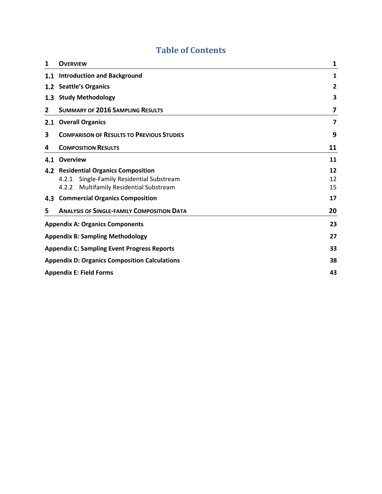# **Table of Contents**

| 1   | <b>OVERVIEW</b>                                            | 1  |  |  |  |  |  |
|-----|------------------------------------------------------------|----|--|--|--|--|--|
| 1.1 | <b>Introduction and Background</b>                         | 1  |  |  |  |  |  |
|     | 1.2 Seattle's Organics                                     | 2  |  |  |  |  |  |
|     | 1.3 Study Methodology                                      | 3  |  |  |  |  |  |
| 2   | <b>SUMMARY OF 2016 SAMPLING RESULTS</b>                    | 7  |  |  |  |  |  |
| 2.1 | <b>Overall Organics</b>                                    | 7  |  |  |  |  |  |
| 3   | <b>COMPARISON OF RESULTS TO PREVIOUS STUDIES</b>           | 9  |  |  |  |  |  |
| 4   | <b>COMPOSITION RESULTS</b>                                 | 11 |  |  |  |  |  |
| 4.1 | Overview                                                   | 11 |  |  |  |  |  |
|     | 4.2 Residential Organics Composition                       | 12 |  |  |  |  |  |
|     | Single-Family Residential Substream<br>4.2.1               | 12 |  |  |  |  |  |
|     | <b>Multifamily Residential Substream</b><br>4.2.2          | 15 |  |  |  |  |  |
|     | 4.3 Commercial Organics Composition                        | 17 |  |  |  |  |  |
| 5   | <b>ANALYSIS OF SINGLE-FAMILY COMPOSITION DATA</b>          | 20 |  |  |  |  |  |
|     | <b>Appendix A: Organics Components</b>                     | 23 |  |  |  |  |  |
|     | <b>Appendix B: Sampling Methodology</b>                    | 27 |  |  |  |  |  |
|     | <b>Appendix C: Sampling Event Progress Reports</b>         |    |  |  |  |  |  |
|     | <b>Appendix D: Organics Composition Calculations</b><br>38 |    |  |  |  |  |  |
|     | <b>Appendix E: Field Forms</b><br>43                       |    |  |  |  |  |  |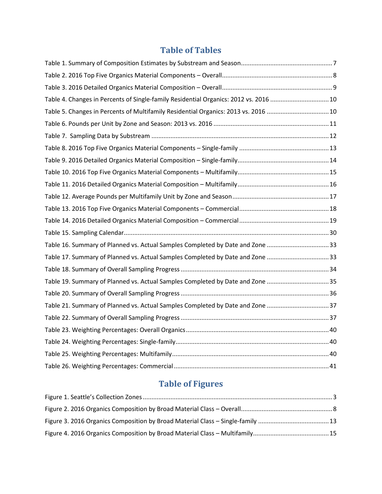# **Table of Tables**

| Table 4. Changes in Percents of Single-family Residential Organics: 2012 vs. 2016 10 |  |
|--------------------------------------------------------------------------------------|--|
| Table 5. Changes in Percents of Multifamily Residential Organics: 2013 vs. 2016  10  |  |
|                                                                                      |  |
|                                                                                      |  |
|                                                                                      |  |
|                                                                                      |  |
|                                                                                      |  |
|                                                                                      |  |
|                                                                                      |  |
|                                                                                      |  |
|                                                                                      |  |
|                                                                                      |  |
| Table 16. Summary of Planned vs. Actual Samples Completed by Date and Zone 33        |  |
| Table 17. Summary of Planned vs. Actual Samples Completed by Date and Zone 33        |  |
|                                                                                      |  |
| Table 19. Summary of Planned vs. Actual Samples Completed by Date and Zone 35        |  |
|                                                                                      |  |
| Table 21. Summary of Planned vs. Actual Samples Completed by Date and Zone 37        |  |
|                                                                                      |  |
|                                                                                      |  |
|                                                                                      |  |
|                                                                                      |  |
|                                                                                      |  |

# **Table of Figures**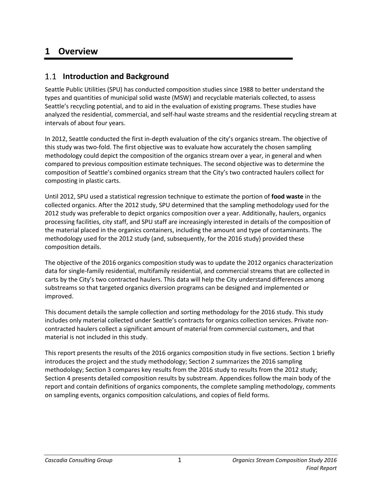# <span id="page-6-0"></span>**1 Overview**

## <span id="page-6-1"></span>**Introduction and Background**

Seattle Public Utilities (SPU) has conducted composition studies since 1988 to better understand the types and quantities of municipal solid waste (MSW) and recyclable materials collected, to assess Seattle's recycling potential, and to aid in the evaluation of existing programs. These studies have analyzed the residential, commercial, and self-haul waste streams and the residential recycling stream at intervals of about four years.

In 2012, Seattle conducted the first in-depth evaluation of the city's organics stream. The objective of this study was two-fold. The first objective was to evaluate how accurately the chosen sampling methodology could depict the composition of the organics stream over a year, in general and when compared to previous composition estimate techniques. The second objective was to determine the composition of Seattle's combined organics stream that the City's two contracted haulers collect for composting in plastic carts.

Until 2012, SPU used a statistical regression technique to estimate the portion of **food waste** in the collected organics. After the 2012 study, SPU determined that the sampling methodology used for the 2012 study was preferable to depict organics composition over a year. Additionally, haulers, organics processing facilities, city staff, and SPU staff are increasingly interested in details of the composition of the material placed in the organics containers, including the amount and type of contaminants. The methodology used for the 2012 study (and, subsequently, for the 2016 study) provided these composition details.

The objective of the 2016 organics composition study was to update the 2012 organics characterization data for single-family residential, multifamily residential, and commercial streams that are collected in carts by the City's two contracted haulers. This data will help the City understand differences among substreams so that targeted organics diversion programs can be designed and implemented or improved.

This document details the sample collection and sorting methodology for the 2016 study. This study includes only material collected under Seattle's contracts for organics collection services. Private noncontracted haulers collect a significant amount of material from commercial customers, and that material is not included in this study.

This report presents the results of the 2016 organics composition study in five sections. Section [1](#page-6-0) briefly introduces the project and the study methodology; Section [2](#page-12-0) summarizes the 2016 sampling methodology; Section 3 compares key results from the 2016 study to results from the 2012 study; Section 4 presents detailed composition results by substream. Appendices follow the main body of the report and contain definitions of organics components, the complete sampling methodology, comments on sampling events, organics composition calculations, and copies of field forms.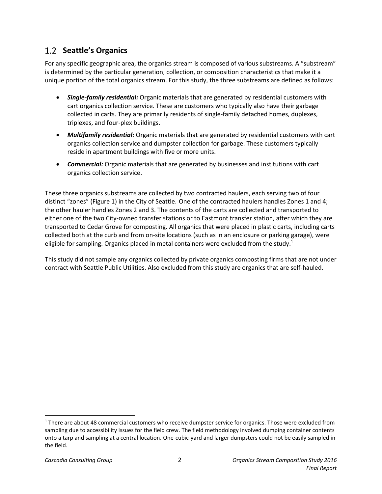# <span id="page-7-0"></span>**Seattle's Organics**

For any specific geographic area, the organics stream is composed of various substreams. A "substream" is determined by the particular generation, collection, or composition characteristics that make it a unique portion of the total organics stream. For this study, the three substreams are defined as follows:

- *Single-family residential:* Organic materials that are generated by residential customers with cart organics collection service. These are customers who typically also have their garbage collected in carts. They are primarily residents of single-family detached homes, duplexes, triplexes, and four-plex buildings.
- *Multifamily residential:* Organic materials that are generated by residential customers with cart organics collection service and dumpster collection for garbage. These customers typically reside in apartment buildings with five or more units.
- *Commercial:* Organic materials that are generated by businesses and institutions with cart organics collection service.

These three organics substreams are collected by two contracted haulers, each serving two of four distinct "zones" ([Figure 1\)](#page-8-1) in the City of Seattle. One of the contracted haulers handles Zones 1 and 4; the other hauler handles Zones 2 and 3. The contents of the carts are collected and transported to either one of the two City-owned transfer stations or to Eastmont transfer station, after which they are transported to Cedar Grove for composting. All organics that were placed in plastic carts, including carts collected both at the curb and from on-site locations (such as in an enclosure or parking garage), were eligible for sampling. Organics placed in metal containers were excluded from the study.<sup>1</sup>

This study did not sample any organics collected by private organics composting firms that are not under contract with Seattle Public Utilities. Also excluded from this study are organics that are self-hauled.

l

<sup>&</sup>lt;sup>1</sup> There are about 48 commercial customers who receive dumpster service for organics. Those were excluded from sampling due to accessibility issues for the field crew. The field methodology involved dumping container contents onto a tarp and sampling at a central location. One-cubic-yard and larger dumpsters could not be easily sampled in the field.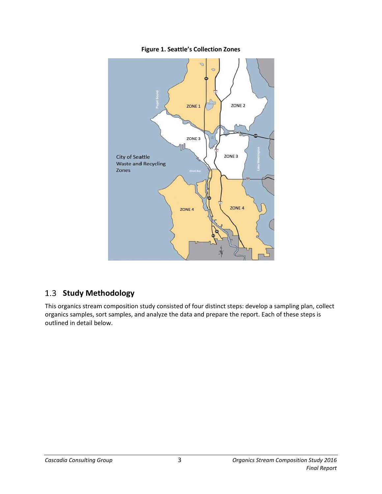<span id="page-8-1"></span>

**Figure 1. Seattle's Collection Zones**

# <span id="page-8-0"></span>1.3 Study Methodology

This organics stream composition study consisted of four distinct steps: develop a sampling plan, collect organics samples, sort samples, and analyze the data and prepare the report. Each of these steps is outlined in detail below.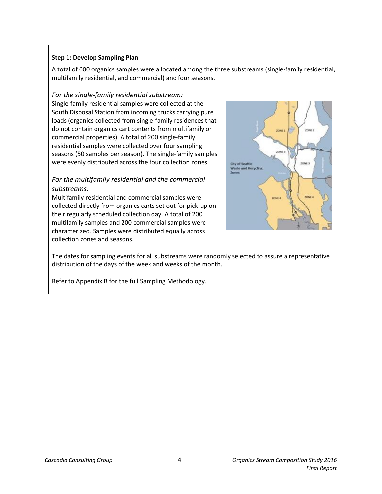### **Step 1: Develop Sampling Plan**

A total of 600 organics samples were allocated among the three substreams (single-family residential, multifamily residential, and commercial) and four seasons.

#### *For the single-family residential substream:*

Single-family residential samples were collected at the South Disposal Station from incoming trucks carrying pure loads (organics collected from single-family residences that do not contain organics cart contents from multifamily or commercial properties). A total of 200 single-family residential samples were collected over four sampling seasons (50 samples per season). The single-family samples were evenly distributed across the four collection zones.

### *For the multifamily residential and the commercial substreams:*

Multifamily residential and commercial samples were collected directly from organics carts set out for pick-up on their regularly scheduled collection day. A total of 200 multifamily samples and 200 commercial samples were characterized. Samples were distributed equally across collection zones and seasons.



The dates for sampling events for all substreams were randomly selected to assure a representative distribution of the days of the week and weeks of the month.

Refer to Appendix B for the full Sampling Methodology.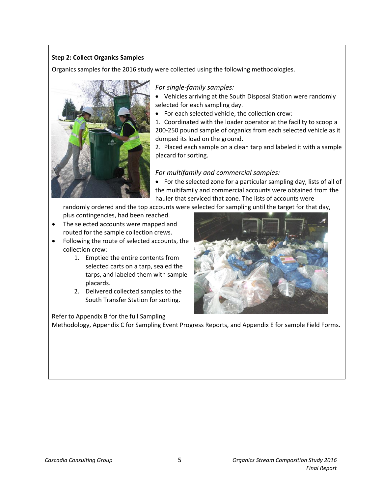### **Step 2: Collect Organics Samples**

Organics samples for the 2016 study were collected using the following methodologies.



### *For single-family samples:*

• Vehicles arriving at the South Disposal Station were randomly selected for each sampling day.

• For each selected vehicle, the collection crew:

1. Coordinated with the loader operator at the facility to scoop a 200-250 pound sample of organics from each selected vehicle as it dumped its load on the ground.

2. Placed each sample on a clean tarp and labeled it with a sample placard for sorting.

### *For multifamily and commercial samples:*

• For the selected zone for a particular sampling day, lists of all of the multifamily and commercial accounts were obtained from the hauler that serviced that zone. The lists of accounts were

randomly ordered and the top accounts were selected for sampling until the target for that day,

- plus contingencies, had been reached. • The selected accounts were mapped and
- routed for the sample collection crews.
- Following the route of selected accounts, the collection crew:
	- 1. Emptied the entire contents from selected carts on a tarp, sealed the tarps, and labeled them with sample placards.
	- 2. Delivered collected samples to the South Transfer Station for sorting.

Refer to Appendix B for the full Sampling



Methodology, Appendix C for Sampling Event Progress Reports, and Appendix E for sample Field Forms.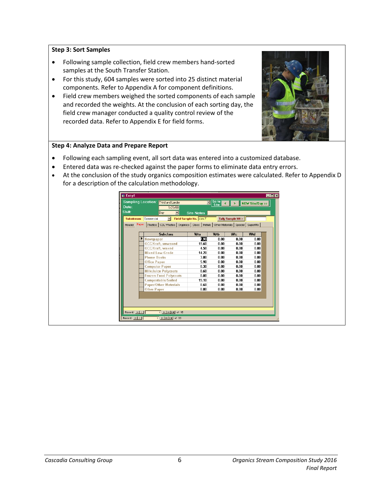#### **Step 3: Sort Samples**

- Following sample collection, field crew members hand-sorted samples at the South Transfer Station.
- For this study, 604 samples were sorted into 25 distinct material components. Refer to Appendix A for component definitions.
- Field crew members weighed the sorted components of each sample and recorded the weights. At the conclusion of each sorting day, the field crew manager conducted a quality control review of the recorded data. Refer to Appendix E for field forms.



#### **Step 4: Analyze Data and Prepare Report**

- Following each sampling event, all sort data was entered into a customized database.
- Entered data was re-checked against the paper forms to eliminate data entry errors.
- At the conclusion of the study organics composition estimates were calculated. Refer to Appendix D for a description of the calculation methodology.

| Commercial<br>$\mathbf{r}$<br><b>Substream</b>                            | Field Sample No. com 7 |      | Tally Sample Wt >                    |      |
|---------------------------------------------------------------------------|------------------------|------|--------------------------------------|------|
| Paper<br>  CDL Wastes   Organics   Glass   Metals  <br>Plastics<br>Header |                        |      | Other Materials   Special   SuperMIx |      |
| <b>Subclass</b>                                                           | Wta                    | Wth  | Wtc                                  | Wtd  |
| Newspaper                                                                 | 7.90                   | 0.00 | 0.00                                 | 0.00 |
| <b>OCC/Kraft.unwaxed</b>                                                  | 19.60                  | 0.00 | 0.00                                 | 0.00 |
| OCC/Kraft, waxed                                                          | 4.50                   | 0.00 | 0.00                                 | 0.00 |
| Mixed Low Grade                                                           | 14.20                  | 0.00 | 0.00                                 | 0.00 |
| <b>Phone Books</b>                                                        | 3.80                   | 0.00 | 0.00                                 | 0.00 |
| <b>Office Paper</b>                                                       | 5.90                   | 0.00 | 0.00                                 | 0.00 |
| <b>Computer Paper</b>                                                     | 0.30                   | 0.00 | 0.00                                 | 0.00 |
| <b>Milk/Juice Polycoats</b>                                               | 0.60                   | 0.00 | 0.00                                 | 0.00 |
| <b>Frozen Food Polycoats</b>                                              | 0.00                   | 0.00 | 0.00                                 | 0.00 |
| <b>Compostable/Soiled</b>                                                 | 15.10                  | 0.00 | 0.00                                 | 0.00 |
| <b>Paper/Other Materials</b>                                              | 0.60                   | 0.00 | 0.00                                 | 0.00 |
| <b>Other Paper</b>                                                        | 0.00                   | 0.00 | 0.00                                 | 0.00 |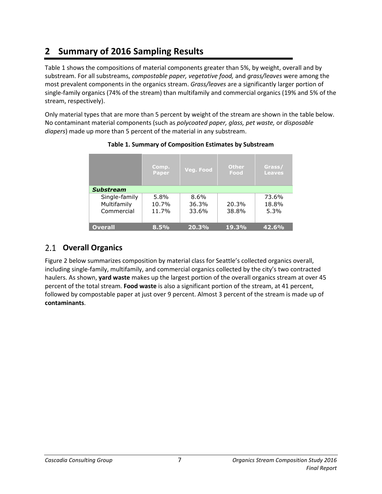# <span id="page-12-0"></span>**2 Summary of 2016 Sampling Results**

[Table](#page-12-2) 1 shows the compositions of material components greater than 5%, by weight, overall and by substream. For all substreams, *compostable paper, vegetative food,* and *grass/leaves* were among the most prevalent components in the organics stream. *Grass/leaves* are a significantly larger portion of single-family organics (74% of the stream) than multifamily and commercial organics (19% and 5% of the stream, respectively).

<span id="page-12-2"></span>Only material types that are more than 5 percent by weight of the stream are shown in the table below. No contaminant material components (such as *polycoated paper, glass, pet waste,* or *disposable diapers*) made up more than 5 percent of the material in any substream.

|                                            | Comp.<br>Paper         | Veg. Food              | Other<br>Food  | Grass/<br><b>Leaves</b> |  |  |  |
|--------------------------------------------|------------------------|------------------------|----------------|-------------------------|--|--|--|
| <b>Substream</b>                           |                        |                        |                |                         |  |  |  |
| Single-family<br>Multifamily<br>Commercial | 5.8%<br>10.7%<br>11.7% | 8.6%<br>36.3%<br>33.6% | 20.3%<br>38.8% | 73.6%<br>18.8%<br>5.3%  |  |  |  |
| <b>Overall</b>                             | 8.5%                   | 20.3%                  | 19.3%          | 42.6%                   |  |  |  |

### **Table 1. Summary of Composition Estimates by Substream**

# <span id="page-12-1"></span>**Overall Organics**

[Figure 2](#page-13-1) below summarizes composition by material class for Seattle's collected organics overall, including single-family, multifamily, and commercial organics collected by the city's two contracted haulers. As shown, **yard waste** makes up the largest portion of the overall organics stream at over 45 percent of the total stream. **Food waste** is also a significant portion of the stream, at 41 percent, followed by compostable paper at just over 9 percent. Almost 3 percent of the stream is made up of **contaminants**.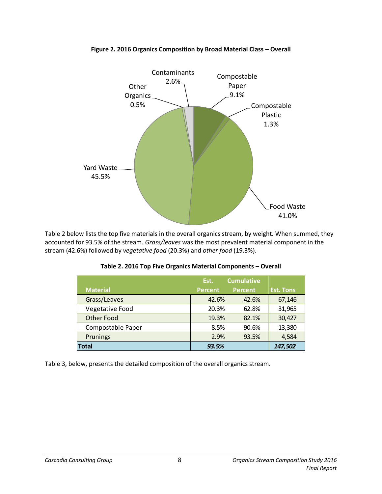<span id="page-13-1"></span>

**Figure 2. 2016 Organics Composition by Broad Material Class – Overall**

<span id="page-13-0"></span>[Table 2](#page-13-0) below lists the top five materials in the overall organics stream, by weight. When summed, they accounted for 93.5% of the stream. *Grass/leaves* was the most prevalent material component in the stream (42.6%) followed by *vegetative food* (20.3%) and *other food* (19.3%).

|                   | Est.           | <b>Cumulative</b> |                  |
|-------------------|----------------|-------------------|------------------|
| <b>Material</b>   | <b>Percent</b> | <b>Percent</b>    | <b>Est. Tons</b> |
| Grass/Leaves      | 42.6%          | 42.6%             | 67,146           |
| Vegetative Food   | 20.3%          | 62.8%             | 31,965           |
| <b>Other Food</b> | 19.3%          | 82.1%             | 30,427           |
| Compostable Paper | 8.5%           | 90.6%             | 13,380           |
| Prunings          | 2.9%           | 93.5%             | 4,584            |
| <b>Total</b>      | 93.5%          |                   | 147,502          |

**Table 2. 2016 Top Five Organics Material Components – Overall**

[Table 3,](#page-14-1) below, presents the detailed composition of the overall organics stream.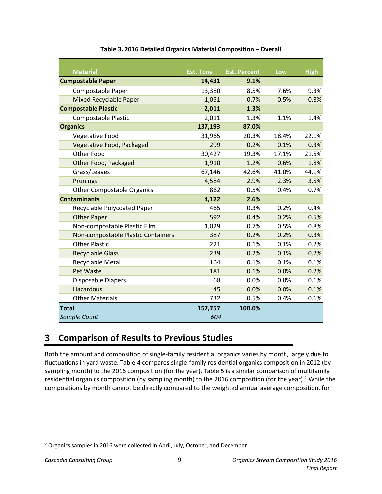<span id="page-14-1"></span>

| <b>Material</b>                    | <b>Est. Tons</b> | <b>Est. Percent</b> | Low   | <b>High</b> |
|------------------------------------|------------------|---------------------|-------|-------------|
| <b>Compostable Paper</b>           | 14,431           | 9.1%                |       |             |
| Compostable Paper                  | 13,380           | 8.5%                | 7.6%  | 9.3%        |
| <b>Mixed Recyclable Paper</b>      | 1,051            | 0.7%                | 0.5%  | 0.8%        |
| <b>Compostable Plastic</b>         | 2,011            | 1.3%                |       |             |
| <b>Compostable Plastic</b>         | 2,011            | 1.3%                | 1.1%  | 1.4%        |
| <b>Organics</b>                    | 137,193          | 87.0%               |       |             |
| Vegetative Food                    | 31,965           | 20.3%               | 18.4% | 22.1%       |
| Vegetative Food, Packaged          | 299              | 0.2%                | 0.1%  | 0.3%        |
| Other Food                         | 30,427           | 19.3%               | 17.1% | 21.5%       |
| Other Food, Packaged               | 1,910            | 1.2%                | 0.6%  | 1.8%        |
| Grass/Leaves                       | 67,146           | 42.6%               | 41.0% | 44.1%       |
| Prunings                           | 4,584            | 2.9%                | 2.3%  | 3.5%        |
| <b>Other Compostable Organics</b>  | 862              | 0.5%                | 0.4%  | 0.7%        |
| <b>Contaminants</b>                | 4,122            | 2.6%                |       |             |
| Recyclable Polycoated Paper        | 465              | 0.3%                | 0.2%  | 0.4%        |
| <b>Other Paper</b>                 | 592              | 0.4%                | 0.2%  | 0.5%        |
| Non-compostable Plastic Film       | 1,029            | 0.7%                | 0.5%  | 0.8%        |
| Non-compostable Plastic Containers | 387              | 0.2%                | 0.2%  | 0.3%        |
| <b>Other Plastic</b>               | 221              | 0.1%                | 0.1%  | 0.2%        |
| <b>Recyclable Glass</b>            | 239              | 0.2%                | 0.1%  | 0.2%        |
| Recyclable Metal                   | 164              | 0.1%                | 0.1%  | 0.1%        |
| Pet Waste                          | 181              | 0.1%                | 0.0%  | 0.2%        |
| Disposable Diapers                 | 68               | 0.0%                | 0.0%  | 0.1%        |
| <b>Hazardous</b>                   | 45               | 0.0%                | 0.0%  | 0.1%        |
| <b>Other Materials</b>             | 732              | 0.5%                | 0.4%  | 0.6%        |
| <b>Total</b>                       | 157,757          | 100.0%              |       |             |
| Sample Count                       | 604              |                     |       |             |

### **Table 3. 2016 Detailed Organics Material Composition – Overall**

# <span id="page-14-0"></span>**3 Comparison of Results to Previous Studies**

Both the amount and composition of single-family residential organics varies by month, largely due to fluctuations in yard waste[. Table 4](#page-15-0) compares single-family residential organics composition in 2012 (by sampling month) to the 2016 composition (for the year). [Table 5](#page-15-1) is a similar comparison of multifamily residential organics composition (by sampling month) to the 2016 composition (for the year).<sup>2</sup> While the compositions by month cannot be directly compared to the weighted annual average composition, for

 $\overline{\phantom{a}}$ 

<sup>&</sup>lt;sup>2</sup> Organics samples in 2016 were collected in April, July, October, and December.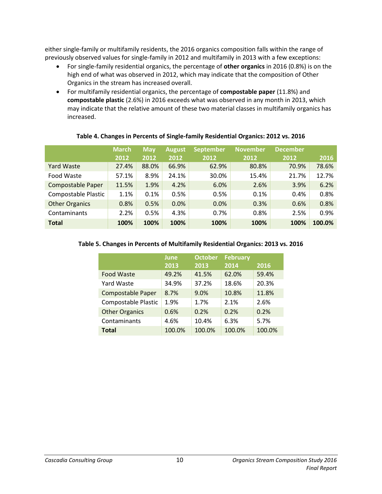either single-family or multifamily residents, the 2016 organics composition falls within the range of previously observed values for single-family in 2012 and multifamily in 2013 with a few exceptions:

- For single-family residential organics, the percentage of **other organics** in 2016 (0.8%) is on the high end of what was observed in 2012, which may indicate that the composition of Other Organics in the stream has increased overall.
- For multifamily residential organics, the percentage of **compostable paper** (11.8%) and **compostable plastic** (2.6%) in 2016 exceeds what was observed in any month in 2013, which may indicate that the relative amount of these two material classes in multifamily organics has increased.

<span id="page-15-0"></span>

|                          | <b>March</b><br>2012 | <b>May</b><br>2012 | <b>August</b><br>2012 | <b>September</b><br>2012 | <b>November</b><br>2012 | <b>December</b><br>2012 | 2016   |
|--------------------------|----------------------|--------------------|-----------------------|--------------------------|-------------------------|-------------------------|--------|
| <b>Yard Waste</b>        | 27.4%                | 88.0%              | 66.9%                 | 62.9%                    | 80.8%                   | 70.9%                   | 78.6%  |
| Food Waste               | 57.1%                | 8.9%               | 24.1%                 | 30.0%                    | 15.4%                   | 21.7%                   | 12.7%  |
| <b>Compostable Paper</b> | 11.5%                | 1.9%               | 4.2%                  | 6.0%                     | 2.6%                    | 3.9%                    | 6.2%   |
| Compostable Plastic      | 1.1%                 | 0.1%               | 0.5%                  | 0.5%                     | 0.1%                    | 0.4%                    | 0.8%   |
| <b>Other Organics</b>    | 0.8%                 | 0.5%               | 0.0%                  | 0.0%                     | 0.3%                    | 0.6%                    | 0.8%   |
| Contaminants             | 2.2%                 | 0.5%               | 4.3%                  | 0.7%                     | 0.8%                    | 2.5%                    | 0.9%   |
| <b>Total</b>             | 100%                 | 100%               | 100%                  | 100%                     | 100%                    | 100%                    | 100.0% |

#### **Table 4. Changes in Percents of Single-family Residential Organics: 2012 vs. 2016**

### <span id="page-15-1"></span>**Table 5. Changes in Percents of Multifamily Residential Organics: 2013 vs. 2016**

|                          | <b>June</b> | <b>October</b> | <b>February</b> |        |
|--------------------------|-------------|----------------|-----------------|--------|
|                          | 2013        | 2013           | 2014            | 2016   |
| <b>Food Waste</b>        | 49.2%       | 41.5%          | 62.0%           | 59.4%  |
| Yard Waste               | 34.9%       | 37.2%          | 18.6%           | 20.3%  |
| <b>Compostable Paper</b> | 8.7%        | 9.0%           | 10.8%           | 11.8%  |
| Compostable Plastic      | 1.9%        | 1.7%           | 2.1%            | 2.6%   |
| <b>Other Organics</b>    | 0.6%        | 0.2%           | 0.2%            | 0.2%   |
| Contaminants             | 4.6%        | 10.4%          | 6.3%            | 5.7%   |
| <b>Total</b>             | 100.0%      | 100.0%         | 100.0%          | 100.0% |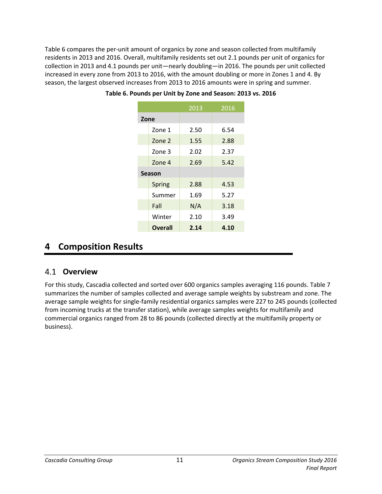<span id="page-16-2"></span>[Table](#page-16-2) 6 compares the per-unit amount of organics by zone and season collected from multifamily residents in 2013 and 2016. Overall, multifamily residents set out 2.1 pounds per unit of organics for collection in 2013 and 4.1 pounds per unit—nearly doubling—in 2016. The pounds per unit collected increased in every zone from 2013 to 2016, with the amount doubling or more in Zones 1 and 4. By season, the largest observed increases from 2013 to 2016 amounts were in spring and summer.

|      |                | 2013 | 2016 |
|------|----------------|------|------|
| Zone |                |      |      |
|      | Zone 1         | 2.50 | 6.54 |
|      | Zone 2         | 1.55 | 2.88 |
|      | Zone 3         | 2.02 | 2.37 |
|      | Zone 4         | 2.69 | 5.42 |
|      | <b>Season</b>  |      |      |
|      | Spring         | 2.88 | 4.53 |
|      | Summer         | 1.69 | 5.27 |
|      | Fall           | N/A  | 3.18 |
|      | Winter         | 2.10 | 3.49 |
|      | <b>Overall</b> | 2.14 | 4.10 |

**Table 6. Pounds per Unit by Zone and Season: 2013 vs. 2016**

# <span id="page-16-0"></span>**4 Composition Results**

### <span id="page-16-1"></span>**Overview**

For this study, Cascadia collected and sorted over 600 organics samples averaging 116 pounds. [Table 7](#page-17-2) summarizes the number of samples collected and average sample weights by substream and zone. The average sample weights for single-family residential organics samples were 227 to 245 pounds (collected from incoming trucks at the transfer station), while average samples weights for multifamily and commercial organics ranged from 28 to 86 pounds (collected directly at the multifamily property or business).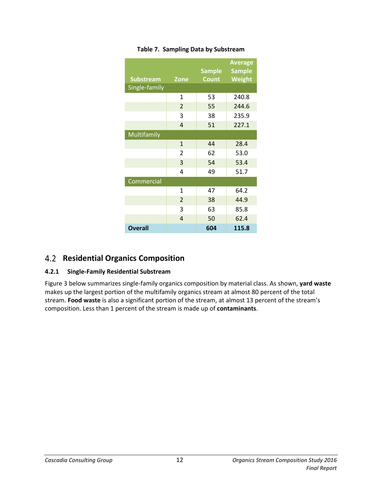<span id="page-17-2"></span>

| <b>Substream</b> | <b>Zone</b>    | <b>Sample</b><br><b>Count</b> | <b>Average</b><br><b>Sample</b><br>Weight |
|------------------|----------------|-------------------------------|-------------------------------------------|
| Single-family    |                |                               |                                           |
|                  | $\mathbf{1}$   | 53                            | 240.8                                     |
|                  | $\overline{2}$ | 55                            | 244.6                                     |
|                  | 3              | 38                            | 235.9                                     |
|                  | 4              | 51                            | 227.1                                     |
| Multifamily      |                |                               |                                           |
|                  | $\mathbf{1}$   | 44                            | 28.4                                      |
|                  | 2              | 62                            | 53.0                                      |
|                  | 3              | 54                            | 53.4                                      |
|                  | 4              | 49                            | 51.7                                      |
| Commercial       |                |                               |                                           |
|                  | 1              | 47                            | 64.2                                      |
|                  | $\overline{2}$ | 38                            | 44.9                                      |
|                  | 3              | 63                            | 85.8                                      |
|                  | 4              | 50                            | 62.4                                      |
| <b>Overall</b>   |                | 604                           | 115.8                                     |

### **Table 7. Sampling Data by Substream**

### <span id="page-17-0"></span>**Residential Organics Composition**

### <span id="page-17-1"></span>**4.2.1 Single-Family Residential Substream**

[Figure 3](#page-18-1) below summarizes single-family organics composition by material class. As shown, **yard waste** makes up the largest portion of the multifamily organics stream at almost 80 percent of the total stream. **Food waste** is also a significant portion of the stream, at almost 13 percent of the stream's composition. Less than 1 percent of the stream is made up of **contaminants**.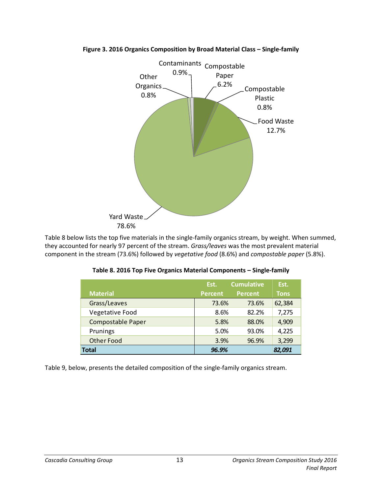

#### <span id="page-18-1"></span>**Figure 3. 2016 Organics Composition by Broad Material Class – Single-family**

<span id="page-18-0"></span>[Table 8](#page-18-0) below lists the top five materials in the single-family organics stream, by weight. When summed, they accounted for nearly 97 percent of the stream. *Grass/leaves* was the most prevalent material component in the stream (73.6%) followed by *vegetative food* (8.6%) and *compostable paper* (5.8%).

|                          | Est.           | <b>Cumulative</b> | Est.        |
|--------------------------|----------------|-------------------|-------------|
| <b>Material</b>          | <b>Percent</b> | <b>Percent</b>    | <b>Tons</b> |
| Grass/Leaves             | 73.6%          | 73.6%             | 62,384      |
| Vegetative Food          | 8.6%           | 82.2%             | 7,275       |
| <b>Compostable Paper</b> | 5.8%           | 88.0%             | 4,909       |
| Prunings                 | 5.0%           | 93.0%             | 4,225       |
| <b>Other Food</b>        | 3.9%           | 96.9%             | 3,299       |
| <b>Total</b>             | 96.9%          |                   | 82,091      |

[Table 9,](#page-19-0) below, presents the detailed composition of the single-family organics stream.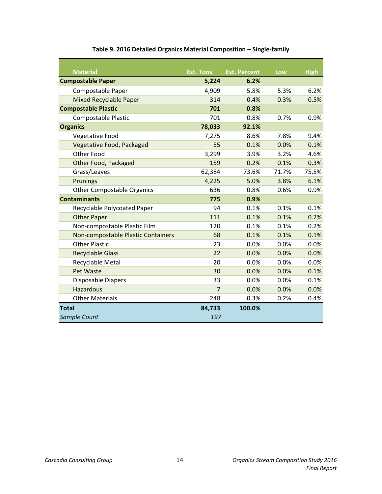<span id="page-19-0"></span>

| <b>Material</b>                    | <b>Est. Tons</b> | <b>Est. Percent</b> | Low   | <b>High</b> |
|------------------------------------|------------------|---------------------|-------|-------------|
| <b>Compostable Paper</b>           | 5,224            | 6.2%                |       |             |
| Compostable Paper                  | 4,909            | 5.8%                | 5.3%  | 6.2%        |
| <b>Mixed Recyclable Paper</b>      | 314              | 0.4%                | 0.3%  | 0.5%        |
| <b>Compostable Plastic</b>         | 701              | 0.8%                |       |             |
| <b>Compostable Plastic</b>         | 701              | 0.8%                | 0.7%  | 0.9%        |
| <b>Organics</b>                    | 78,033           | 92.1%               |       |             |
| Vegetative Food                    | 7,275            | 8.6%                | 7.8%  | 9.4%        |
| Vegetative Food, Packaged          | 55               | 0.1%                | 0.0%  | 0.1%        |
| Other Food                         | 3,299            | 3.9%                | 3.2%  | 4.6%        |
| Other Food, Packaged               | 159              | 0.2%                | 0.1%  | 0.3%        |
| Grass/Leaves                       | 62,384           | 73.6%               | 71.7% | 75.5%       |
| Prunings                           | 4,225            | 5.0%                | 3.8%  | 6.1%        |
| <b>Other Compostable Organics</b>  | 636              | 0.8%                | 0.6%  | 0.9%        |
| <b>Contaminants</b>                | 775              | 0.9%                |       |             |
| Recyclable Polycoated Paper        | 94               | 0.1%                | 0.1%  | 0.1%        |
| <b>Other Paper</b>                 | 111              | 0.1%                | 0.1%  | 0.2%        |
| Non-compostable Plastic Film       | 120              | 0.1%                | 0.1%  | 0.2%        |
| Non-compostable Plastic Containers | 68               | 0.1%                | 0.1%  | 0.1%        |
| <b>Other Plastic</b>               | 23               | 0.0%                | 0.0%  | 0.0%        |
| <b>Recyclable Glass</b>            | 22               | 0.0%                | 0.0%  | 0.0%        |
| Recyclable Metal                   | 20               | 0.0%                | 0.0%  | 0.0%        |
| Pet Waste                          | 30               | 0.0%                | 0.0%  | 0.1%        |
| Disposable Diapers                 | 33               | 0.0%                | 0.0%  | 0.1%        |
| <b>Hazardous</b>                   | $\overline{7}$   | 0.0%                | 0.0%  | 0.0%        |
| <b>Other Materials</b>             | 248              | 0.3%                | 0.2%  | 0.4%        |
| <b>Total</b>                       | 84,733           | 100.0%              |       |             |
| Sample Count                       | 197              |                     |       |             |

### **Table 9. 2016 Detailed Organics Material Composition – Single-family**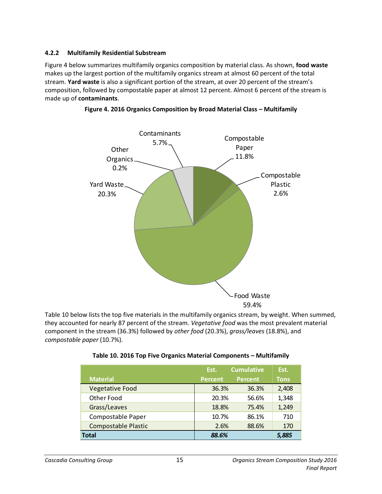### <span id="page-20-0"></span>**4.2.2 Multifamily Residential Substream**

[Figure 4](#page-20-2) below summarizes multifamily organics composition by material class. As shown, **food waste** makes up the largest portion of the multifamily organics stream at almost 60 percent of the total stream. **Yard waste** is also a significant portion of the stream, at over 20 percent of the stream's composition, followed by compostable paper at almost 12 percent. Almost 6 percent of the stream is made up of **contaminants**.



<span id="page-20-2"></span>**Figure 4. 2016 Organics Composition by Broad Material Class – Multifamily**

[Table 10](#page-20-1) below lists the top five materials in the multifamily organics stream, by weight. When summed, they accounted for nearly 87 percent of the stream. *Vegetative food* was the most prevalent material component in the stream (36.3%) followed by *other food* (20.3%), *grass/leaves* (18.8%), and *compostable paper* (10.7%).

| Table 10. 2016 Top Five Organics Material Components - Multifamily |
|--------------------------------------------------------------------|
|--------------------------------------------------------------------|

<span id="page-20-1"></span>

|                            | Est.           | <b>Cumulative</b> | Est.        |
|----------------------------|----------------|-------------------|-------------|
| <b>Material</b>            | <b>Percent</b> | <b>Percent</b>    | <b>Tons</b> |
| <b>Vegetative Food</b>     | 36.3%          | 36.3%             | 2,408       |
| Other Food                 | 20.3%          | 56.6%             | 1,348       |
| Grass/Leaves               | 18.8%          | 75.4%             | 1,249       |
| Compostable Paper          | 10.7%          | 86.1%             | 710         |
| <b>Compostable Plastic</b> | 2.6%           | 88.6%             | 170         |
| <b>Total</b>               | 88.6%          |                   | 5,885       |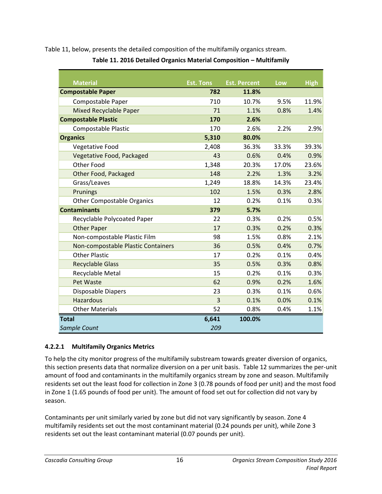<span id="page-21-0"></span>[Table 11,](#page-21-0) below, presents the detailed composition of the multifamily organics stream.

| <b>Material</b>                    | <b>Est. Tons</b> | <b>Est. Percent</b> | Low   | <b>High</b> |
|------------------------------------|------------------|---------------------|-------|-------------|
| <b>Compostable Paper</b>           | 782              | 11.8%               |       |             |
| Compostable Paper                  | 710              | 10.7%               | 9.5%  | 11.9%       |
| <b>Mixed Recyclable Paper</b>      | 71               | 1.1%                | 0.8%  | 1.4%        |
| <b>Compostable Plastic</b>         | 170              | 2.6%                |       |             |
| <b>Compostable Plastic</b>         | 170              | 2.6%                | 2.2%  | 2.9%        |
| <b>Organics</b>                    | 5,310            | 80.0%               |       |             |
| Vegetative Food                    | 2,408            | 36.3%               | 33.3% | 39.3%       |
| Vegetative Food, Packaged          | 43               | 0.6%                | 0.4%  | 0.9%        |
| <b>Other Food</b>                  | 1,348            | 20.3%               | 17.0% | 23.6%       |
| Other Food, Packaged               | 148              | 2.2%                | 1.3%  | 3.2%        |
| Grass/Leaves                       | 1,249            | 18.8%               | 14.3% | 23.4%       |
| Prunings                           | 102              | 1.5%                | 0.3%  | 2.8%        |
| <b>Other Compostable Organics</b>  | 12               | 0.2%                | 0.1%  | 0.3%        |
| <b>Contaminants</b>                | 379              | 5.7%                |       |             |
| Recyclable Polycoated Paper        | 22               | 0.3%                | 0.2%  | 0.5%        |
| <b>Other Paper</b>                 | 17               | 0.3%                | 0.2%  | 0.3%        |
| Non-compostable Plastic Film       | 98               | 1.5%                | 0.8%  | 2.1%        |
| Non-compostable Plastic Containers | 36               | 0.5%                | 0.4%  | 0.7%        |
| <b>Other Plastic</b>               | 17               | 0.2%                | 0.1%  | 0.4%        |
| <b>Recyclable Glass</b>            | 35               | 0.5%                | 0.3%  | 0.8%        |
| Recyclable Metal                   | 15               | 0.2%                | 0.1%  | 0.3%        |
| Pet Waste                          | 62               | 0.9%                | 0.2%  | 1.6%        |
| Disposable Diapers                 | 23               | 0.3%                | 0.1%  | 0.6%        |
| <b>Hazardous</b>                   | $\overline{3}$   | 0.1%                | 0.0%  | 0.1%        |
| <b>Other Materials</b>             | 52               | 0.8%                | 0.4%  | 1.1%        |
| <b>Total</b>                       | 6,641            | 100.0%              |       |             |
| Sample Count                       | 209              |                     |       |             |

**Table 11. 2016 Detailed Organics Material Composition – Multifamily** 

### **4.2.2.1 Multifamily Organics Metrics**

To help the city monitor progress of the multifamily substream towards greater diversion of organics, this section presents data that normalize diversion on a per unit basis. [Table 12](#page-22-1) summarizes the per-unit amount of food and contaminants in the multifamily organics stream by zone and season. Multifamily residents set out the least food for collection in Zone 3 (0.78 pounds of food per unit) and the most food in Zone 1 (1.65 pounds of food per unit). The amount of food set out for collection did not vary by season.

Contaminants per unit similarly varied by zone but did not vary significantly by season. Zone 4 multifamily residents set out the most contaminant material (0.24 pounds per unit), while Zone 3 residents set out the least contaminant material (0.07 pounds per unit).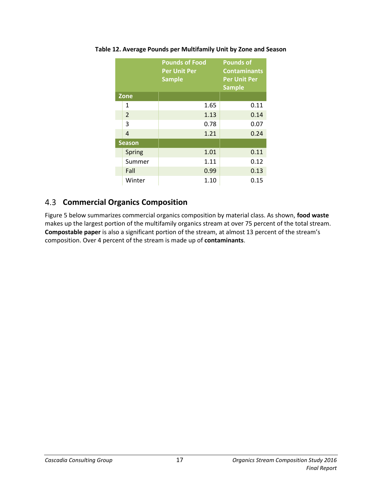|               | <b>Pounds of Food</b><br><b>Per Unit Per</b><br><b>Sample</b> | <b>Pounds of</b><br><b>Contaminants</b><br><b>Per Unit Per</b><br><b>Sample</b> |  |
|---------------|---------------------------------------------------------------|---------------------------------------------------------------------------------|--|
| <b>Zone</b>   |                                                               |                                                                                 |  |
| $\mathbf{1}$  | 1.65                                                          | 0.11                                                                            |  |
| 2             | 1.13                                                          | 0.14                                                                            |  |
| 3             | 0.78                                                          | 0.07                                                                            |  |
| 4             | 1.21                                                          | 0.24                                                                            |  |
| <b>Season</b> |                                                               |                                                                                 |  |
| Spring        | 1.01                                                          | 0.11                                                                            |  |
| Summer        | 1.11                                                          | 0.12                                                                            |  |
| Fall          | 0.99                                                          | 0.13                                                                            |  |
| Winter        | 1.10                                                          | 0.15                                                                            |  |

<span id="page-22-1"></span>**Table 12. Average Pounds per Multifamily Unit by Zone and Season**

### <span id="page-22-0"></span>**Commercial Organics Composition**

[Figure 5](#page-23-1) below summarizes commercial organics composition by material class. As shown, **food waste** makes up the largest portion of the multifamily organics stream at over 75 percent of the total stream. **Compostable paper** is also a significant portion of the stream, at almost 13 percent of the stream's composition. Over 4 percent of the stream is made up of **contaminants**.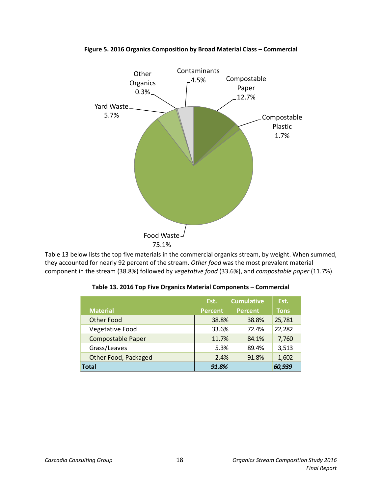

#### <span id="page-23-1"></span>**Figure 5. 2016 Organics Composition by Broad Material Class – Commercial**

<span id="page-23-0"></span>[Table 13](#page-23-0) below lists the top five materials in the commercial organics stream, by weight. When summed, they accounted for nearly 92 percent of the stream. *Other food* was the most prevalent material component in the stream (38.8%) followed by *vegetative food* (33.6%), and *compostable paper* (11.7%).

|                          | Est.           | <b>Cumulative</b> | Est.        |
|--------------------------|----------------|-------------------|-------------|
| <b>Material</b>          | <b>Percent</b> | <b>Percent</b>    | <b>Tons</b> |
| <b>Other Food</b>        | 38.8%          | 38.8%             | 25,781      |
| Vegetative Food          | 33.6%          | 72.4%             | 22,282      |
| <b>Compostable Paper</b> | 11.7%          | 84.1%             | 7,760       |
| Grass/Leaves             | 5.3%           | 89.4%             | 3,513       |
| Other Food, Packaged     | 2.4%           | 91.8%             | 1,602       |
| <b>Total</b>             | 91.8%          |                   | 60,939      |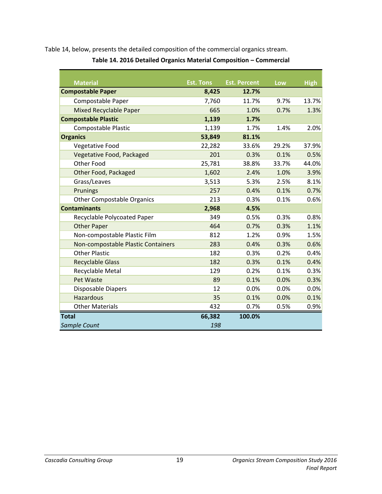<span id="page-24-0"></span>[Table 14,](#page-24-0) below, presents the detailed composition of the commercial organics stream.

| <b>Material</b>                    | <b>Est. Tons</b> | <b>Est. Percent</b> | Low   | <b>High</b> |
|------------------------------------|------------------|---------------------|-------|-------------|
| <b>Compostable Paper</b>           | 8,425            | 12.7%               |       |             |
| Compostable Paper                  | 7,760            | 11.7%               | 9.7%  | 13.7%       |
| <b>Mixed Recyclable Paper</b>      | 665              | 1.0%                | 0.7%  | 1.3%        |
| <b>Compostable Plastic</b>         | 1,139            | 1.7%                |       |             |
| Compostable Plastic                | 1,139            | 1.7%                | 1.4%  | 2.0%        |
| <b>Organics</b>                    | 53,849           | 81.1%               |       |             |
| Vegetative Food                    | 22,282           | 33.6%               | 29.2% | 37.9%       |
| Vegetative Food, Packaged          | 201              | 0.3%                | 0.1%  | 0.5%        |
| Other Food                         | 25,781           | 38.8%               | 33.7% | 44.0%       |
| Other Food, Packaged               | 1,602            | 2.4%                | 1.0%  | 3.9%        |
| Grass/Leaves                       | 3,513            | 5.3%                | 2.5%  | 8.1%        |
| Prunings                           | 257              | 0.4%                | 0.1%  | 0.7%        |
| <b>Other Compostable Organics</b>  | 213              | 0.3%                | 0.1%  | 0.6%        |
| <b>Contaminants</b>                | 2,968            | 4.5%                |       |             |
| Recyclable Polycoated Paper        | 349              | 0.5%                | 0.3%  | 0.8%        |
| <b>Other Paper</b>                 | 464              | 0.7%                | 0.3%  | 1.1%        |
| Non-compostable Plastic Film       | 812              | 1.2%                | 0.9%  | 1.5%        |
| Non-compostable Plastic Containers | 283              | 0.4%                | 0.3%  | 0.6%        |
| <b>Other Plastic</b>               | 182              | 0.3%                | 0.2%  | 0.4%        |
| <b>Recyclable Glass</b>            | 182              | 0.3%                | 0.1%  | 0.4%        |
| Recyclable Metal                   | 129              | 0.2%                | 0.1%  | 0.3%        |
| Pet Waste                          | 89               | 0.1%                | 0.0%  | 0.3%        |
| Disposable Diapers                 | 12               | 0.0%                | 0.0%  | 0.0%        |
| <b>Hazardous</b>                   | 35               | 0.1%                | 0.0%  | 0.1%        |
| <b>Other Materials</b>             | 432              | 0.7%                | 0.5%  | 0.9%        |
| <b>Total</b>                       | 66,382           | 100.0%              |       |             |
| Sample Count                       | 198              |                     |       |             |

**Table 14. 2016 Detailed Organics Material Composition – Commercial**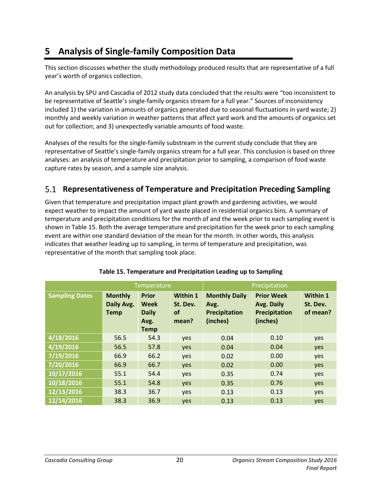# <span id="page-25-0"></span>**5 Analysis of Single-family Composition Data**

This section discusses whether the study methodology produced results that are representative of a full year's worth of organics collection.

An analysis by SPU and Cascadia of 2012 study data concluded that the results were "too inconsistent to be representative of Seattle's single-family organics stream for a full year." Sources of inconsistency included 1) the variation in amounts of organics generated due to seasonal fluctuations in yard waste; 2) monthly and weekly variation in weather patterns that affect yard work and the amounts of organics set out for collection; and 3) unexpectedly variable amounts of food waste.

Analyses of the results for the single-family substream in the current study conclude that they are representative of Seattle's single-family organics stream for a full year. This conclusion is based on three analyses: an analysis of temperature and precipitation prior to sampling, a comparison of food waste capture rates by season, and a sample size analysis.

# **Representativeness of Temperature and Precipitation Preceding Sampling**

Given that temperature and precipitation impact plant growth and gardening activities, we would expect weather to impact the amount of yard waste placed in residential organics bins. A summary of temperature and precipitation conditions for the month of and the week prior to each sampling event is shown in [Table 15.](#page-25-1) Both the average temperature and precipitation for the week prior to each sampling event are within one standard deviation of the mean for the month. In other words, this analysis indicates that weather leading up to sampling, in terms of temperature and precipitation, was representative of the month that sampling took place.

<span id="page-25-1"></span>

|                       | Temperature                                 |                                                             |                                            | Precipitation                                             |                                                              |                                  |
|-----------------------|---------------------------------------------|-------------------------------------------------------------|--------------------------------------------|-----------------------------------------------------------|--------------------------------------------------------------|----------------------------------|
| <b>Sampling Dates</b> | <b>Monthly</b><br>Daily Avg.<br><b>Temp</b> | <b>Prior</b><br>Week<br><b>Daily</b><br>Avg.<br><b>Temp</b> | Within 1<br>St. Dev.<br><b>of</b><br>mean? | <b>Monthly Daily</b><br>Avg.<br>Precipitation<br>(inches) | <b>Prior Week</b><br>Avg. Daily<br>Precipitation<br>(inches) | Within 1<br>St. Dev.<br>of mean? |
| 4/18/2016             | 56.5                                        | 54.3                                                        | yes                                        | 0.04                                                      | 0.10                                                         | yes                              |
| 4/19/2016             | 56.5                                        | 57.8                                                        | yes                                        | 0.04                                                      | 0.04                                                         | yes                              |
| 7/19/2016             | 66.9                                        | 66.2                                                        | yes                                        | 0.02                                                      | 0.00                                                         | yes                              |
| 7/20/2016             | 66.9                                        | 66.7                                                        | yes                                        | 0.02                                                      | 0.00                                                         | yes                              |
| 10/17/2016            | 55.1                                        | 54.4                                                        | yes                                        | 0.35                                                      | 0.74                                                         | yes                              |
| 10/18/2016            | 55.1                                        | 54.8                                                        | yes                                        | 0.35                                                      | 0.76                                                         | yes                              |
| 12/13/2016            | 38.3                                        | 36.7                                                        | yes                                        | 0.13                                                      | 0.13                                                         | yes                              |
| 12/14/2016            | 38.3                                        | 36.9                                                        | yes                                        | 0.13                                                      | 0.13                                                         | yes                              |

### **Table 15. Temperature and Precipitation Leading up to Sampling**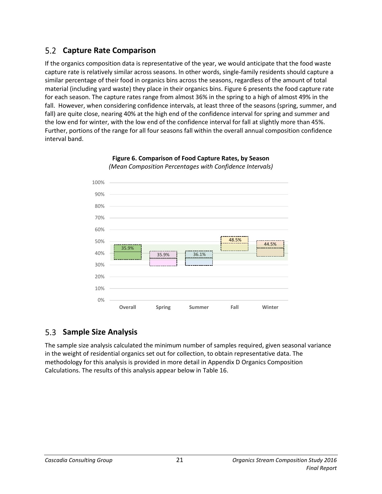# **Capture Rate Comparison**

If the organics composition data is representative of the year, we would anticipate that the food waste capture rate is relatively similar across seasons. In other words, single-family residents should capture a similar percentage of their food in organics bins across the seasons, regardless of the amount of total material (including yard waste) they place in their organics bins[. Figure 6](#page-26-0) presents the food capture rate for each season. The capture rates range from almost 36% in the spring to a high of almost 49% in the fall. However, when considering confidence intervals, at least three of the seasons (spring, summer, and fall) are quite close, nearing 40% at the high end of the confidence interval for spring and summer and the low end for winter, with the low end of the confidence interval for fall at slightly more than 45%. Further, portions of the range for all four seasons fall within the overall annual composition confidence interval band.

<span id="page-26-0"></span>

#### **Figure 6. Comparison of Food Capture Rates, by Season** *(Mean Composition Percentages with Confidence Intervals)*

#### $5.3$ **Sample Size Analysis**

The sample size analysis calculated the minimum number of samples required, given seasonal variance in the weight of residential organics set out for collection, to obtain representative data. The methodology for this analysis is provided in more detail in Appendix D [Organics Composition](#page-43-0)  [Calculations.](#page-43-0) The results of this analysis appear below in [Table 16.](#page-27-0)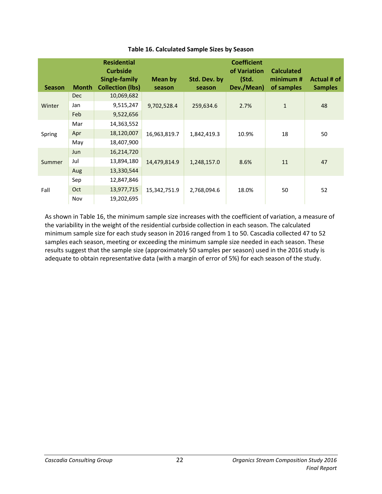<span id="page-27-0"></span>

| <b>Season</b> | <b>Month</b> | <b>Residential</b><br><b>Curbside</b><br>Single-family<br><b>Collection (lbs)</b> | Mean by<br>season | Std. Dev. by<br>season | <b>Coefficient</b><br>of Variation<br>(Std.<br>Dev./Mean) | <b>Calculated</b><br>minimum#<br>of samples | Actual # of<br><b>Samples</b> |    |
|---------------|--------------|-----------------------------------------------------------------------------------|-------------------|------------------------|-----------------------------------------------------------|---------------------------------------------|-------------------------------|----|
|               | <b>Dec</b>   | 10,069,682                                                                        |                   |                        |                                                           |                                             |                               |    |
| Winter        | Jan          | 9,515,247                                                                         | 9,702,528.4       | 259,634.6              | 2.7%                                                      | $\mathbf{1}$                                | 48                            |    |
|               | Feb          | 9,522,656                                                                         |                   |                        |                                                           |                                             |                               |    |
|               | Mar          | 14,363,552                                                                        |                   |                        |                                                           |                                             |                               |    |
| Spring        | Apr          | 18,120,007                                                                        | 16,963,819.7      | 1,842,419.3            | 10.9%                                                     | 18                                          | 50                            |    |
|               | May          | 18,407,900                                                                        |                   |                        |                                                           |                                             |                               |    |
|               | <b>Jun</b>   | 16,214,720                                                                        |                   |                        |                                                           |                                             |                               |    |
| Summer        | Jul          | 13,894,180                                                                        | 14,479,814.9      | 1,248,157.0            | 8.6%                                                      | 11                                          | 47                            |    |
|               | Aug          | 13,330,544                                                                        |                   |                        |                                                           |                                             |                               |    |
| Fall          | Sep          | 12,847,846                                                                        |                   |                        |                                                           |                                             |                               |    |
|               | Oct          | 13,977,715                                                                        | 15,342,751.9      |                        | 2,768,094.6                                               | 18.0%                                       | 50                            | 52 |
|               | Nov          | 19,202,695                                                                        |                   |                        |                                                           |                                             |                               |    |

#### **Table 16. Calculated Sample Sizes by Season**

As shown in [Table 16,](#page-27-0) the minimum sample size increases with the coefficient of variation, a measure of the variability in the weight of the residential curbside collection in each season. The calculated minimum sample size for each study season in 2016 ranged from 1 to 50. Cascadia collected 47 to 52 samples each season, meeting or exceeding the minimum sample size needed in each season. These results suggest that the sample size (approximately 50 samples per season) used in the 2016 study is adequate to obtain representative data (with a margin of error of 5%) for each season of the study.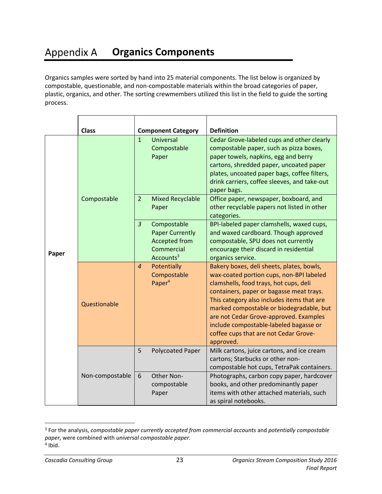#### <span id="page-28-0"></span>**Appendix A Organics Components**

Organics samples were sorted by hand into 25 material components. The list below is organized by compostable, questionable, and non-compostable materials within the broad categories of paper, plastic, organics, and other. The sorting crewmembers utilized this list in the field to guide the sorting process.

|       | <b>Class</b>    | <b>Component Category</b>                                                                                              | <b>Definition</b>                                                                                                                                                                                                                                                                                                                                                                                               |
|-------|-----------------|------------------------------------------------------------------------------------------------------------------------|-----------------------------------------------------------------------------------------------------------------------------------------------------------------------------------------------------------------------------------------------------------------------------------------------------------------------------------------------------------------------------------------------------------------|
|       |                 | $\mathbf{1}$<br><b>Universal</b><br>Compostable<br>Paper                                                               | Cedar Grove-labeled cups and other clearly<br>compostable paper, such as pizza boxes,<br>paper towels, napkins, egg and berry<br>cartons, shredded paper, uncoated paper<br>plates, uncoated paper bags, coffee filters,<br>drink carriers, coffee sleeves, and take-out<br>paper bags.                                                                                                                         |
| Paper | Compostable     | $\overline{2}$<br><b>Mixed Recyclable</b><br>Paper                                                                     | Office paper, newspaper, boxboard, and<br>other recyclable papers not listed in other<br>categories.                                                                                                                                                                                                                                                                                                            |
|       |                 | $\overline{3}$<br>Compostable<br><b>Paper Currently</b><br><b>Accepted from</b><br>Commercial<br>Accounts <sup>3</sup> | BPI-labeled paper clamshells, waxed cups,<br>and waxed cardboard. Though approved<br>compostable, SPU does not currently<br>encourage their discard in residential<br>organics service.                                                                                                                                                                                                                         |
|       | Questionable    | $\overline{4}$<br>Potentially<br>Compostable<br>Paper <sup>4</sup>                                                     | Bakery boxes, deli sheets, plates, bowls,<br>wax-coated portion cups, non-BPI labeled<br>clamshells, food trays, hot cups, deli<br>containers, paper or bagasse meat trays.<br>This category also includes items that are<br>marked compostable or biodegradable, but<br>are not Cedar Grove-approved. Examples<br>include compostable-labeled bagasse or<br>coffee cups that are not Cedar Grove-<br>approved. |
|       |                 | 5<br>Polycoated Paper                                                                                                  | Milk cartons, juice cartons, and ice cream<br>cartons; Starbucks or other non-<br>compostable hot cups, TetraPak containers.                                                                                                                                                                                                                                                                                    |
|       | Non-compostable | Other Non-<br>6<br>compostable<br>Paper                                                                                | Photographs, carbon copy paper, hardcover<br>books, and other predominantly paper<br>items with other attached materials, such<br>as spiral notebooks.                                                                                                                                                                                                                                                          |

<sup>3</sup> For the analysis, *compostable paper currently accepted from commercial accounts* and *potentially compostable paper*, were combined with *universal compostable paper.* 4 Ibid.

 $\overline{a}$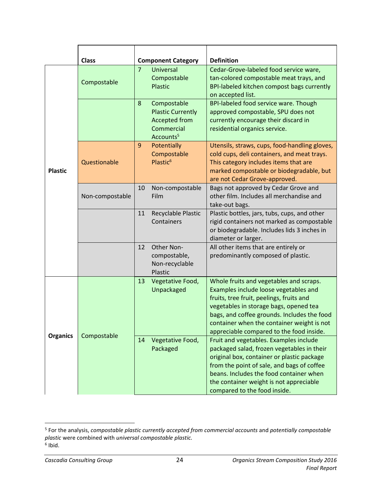|                 | <b>Class</b>    |                                                                                                             | <b>Definition</b>                                                                                                                                                                                                                                                                                               |  |  |
|-----------------|-----------------|-------------------------------------------------------------------------------------------------------------|-----------------------------------------------------------------------------------------------------------------------------------------------------------------------------------------------------------------------------------------------------------------------------------------------------------------|--|--|
|                 | Compostable     | <b>Component Category</b><br>$\overline{7}$<br><b>Universal</b><br>Compostable<br>Plastic                   | Cedar-Grove-labeled food service ware,<br>tan-colored compostable meat trays, and<br><b>BPI-labeled kitchen compost bags currently</b><br>on accepted list.                                                                                                                                                     |  |  |
|                 |                 | Compostable<br>8<br><b>Plastic Currently</b><br><b>Accepted from</b><br>Commercial<br>Accounts <sup>5</sup> | BPI-labeled food service ware. Though<br>approved compostable, SPU does not<br>currently encourage their discard in<br>residential organics service.                                                                                                                                                            |  |  |
| <b>Plastic</b>  | Questionable    | 9<br>Potentially<br>Compostable<br>Plastic <sup>6</sup>                                                     | Utensils, straws, cups, food-handling gloves,<br>cold cups, deli containers, and meat trays.<br>This category includes items that are<br>marked compostable or biodegradable, but<br>are not Cedar Grove-approved.                                                                                              |  |  |
|                 | Non-compostable | 10<br>Non-compostable<br>Film                                                                               | Bags not approved by Cedar Grove and<br>other film. Includes all merchandise and<br>take-out bags.                                                                                                                                                                                                              |  |  |
|                 |                 | Recyclable Plastic<br>11<br>Containers                                                                      | Plastic bottles, jars, tubs, cups, and other<br>rigid containers not marked as compostable<br>or biodegradable. Includes lids 3 inches in<br>diameter or larger.                                                                                                                                                |  |  |
|                 |                 | Other Non-<br>12<br>compostable,<br>Non-recyclable<br>Plastic                                               | All other items that are entirely or<br>predominantly composed of plastic.                                                                                                                                                                                                                                      |  |  |
|                 |                 | Vegetative Food,<br>13<br>Unpackaged                                                                        | Whole fruits and vegetables and scraps.<br>Examples include loose vegetables and<br>fruits, tree fruit, peelings, fruits and<br>vegetables in storage bags, opened tea<br>bags, and coffee grounds. Includes the food<br>container when the container weight is not<br>appreciable compared to the food inside. |  |  |
| <b>Organics</b> | Compostable     | Vegetative Food,<br>14<br>Packaged                                                                          | Fruit and vegetables. Examples include<br>packaged salad, frozen vegetables in their<br>original box, container or plastic package<br>from the point of sale, and bags of coffee<br>beans. Includes the food container when<br>the container weight is not appreciable<br>compared to the food inside.          |  |  |

 5 For the analysis, *compostable plastic currently accepted from commercial accounts* and *potentially compostable plastic* were combined with *universal compostable plastic.* 6 Ibid.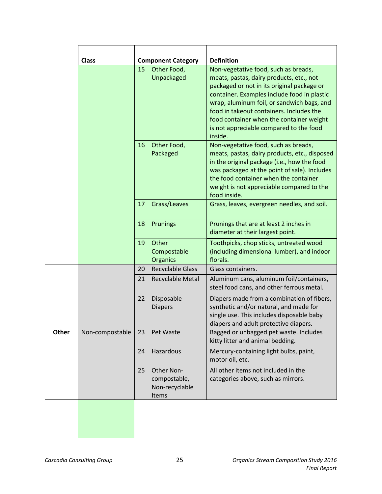|       | <b>Class</b>    |    | <b>Component Category</b>                             | <b>Definition</b>                                                                                                                                                                                                                                                                                                                                                         |
|-------|-----------------|----|-------------------------------------------------------|---------------------------------------------------------------------------------------------------------------------------------------------------------------------------------------------------------------------------------------------------------------------------------------------------------------------------------------------------------------------------|
|       |                 | 15 | Other Food,<br>Unpackaged                             | Non-vegetative food, such as breads,<br>meats, pastas, dairy products, etc., not<br>packaged or not in its original package or<br>container. Examples include food in plastic<br>wrap, aluminum foil, or sandwich bags, and<br>food in takeout containers. Includes the<br>food container when the container weight<br>is not appreciable compared to the food<br>inside. |
|       |                 | 16 | Other Food,<br>Packaged                               | Non-vegetative food, such as breads,<br>meats, pastas, dairy products, etc., disposed<br>in the original package (i.e., how the food<br>was packaged at the point of sale). Includes<br>the food container when the container<br>weight is not appreciable compared to the<br>food inside.                                                                                |
|       |                 | 17 | Grass/Leaves                                          | Grass, leaves, evergreen needles, and soil.                                                                                                                                                                                                                                                                                                                               |
|       |                 | 18 | Prunings                                              | Prunings that are at least 2 inches in<br>diameter at their largest point.                                                                                                                                                                                                                                                                                                |
|       |                 | 19 | Other<br>Compostable<br>Organics                      | Toothpicks, chop sticks, untreated wood<br>(including dimensional lumber), and indoor<br>florals.                                                                                                                                                                                                                                                                         |
|       |                 | 20 | <b>Recyclable Glass</b>                               | Glass containers.                                                                                                                                                                                                                                                                                                                                                         |
|       |                 | 21 | Recyclable Metal                                      | Aluminum cans, aluminum foil/containers,<br>steel food cans, and other ferrous metal.                                                                                                                                                                                                                                                                                     |
|       |                 | 22 | Disposable<br><b>Diapers</b>                          | Diapers made from a combination of fibers,<br>synthetic and/or natural, and made for<br>single use. This includes disposable baby<br>diapers and adult protective diapers                                                                                                                                                                                                 |
| Other | Non-compostable | 23 | Pet Waste                                             | Bagged or unbagged pet waste. Includes<br>kitty litter and animal bedding.                                                                                                                                                                                                                                                                                                |
|       |                 | 24 | Hazardous                                             | Mercury-containing light bulbs, paint,<br>motor oil, etc.                                                                                                                                                                                                                                                                                                                 |
|       |                 | 25 | Other Non-<br>compostable,<br>Non-recyclable<br>Items | All other items not included in the<br>categories above, such as mirrors.                                                                                                                                                                                                                                                                                                 |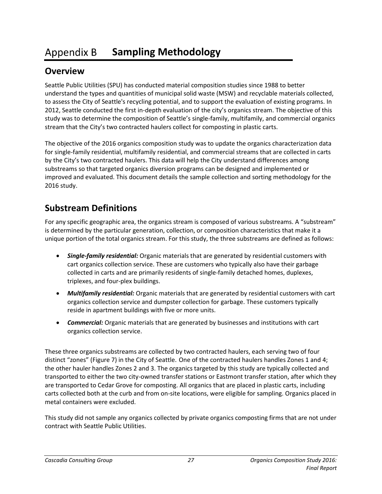#### <span id="page-32-0"></span>Appendix B **Sampling Methodology**

# **Overview**

Seattle Public Utilities (SPU) has conducted material composition studies since 1988 to better understand the types and quantities of municipal solid waste (MSW) and recyclable materials collected, to assess the City of Seattle's recycling potential, and to support the evaluation of existing programs. In 2012, Seattle conducted the first in-depth evaluation of the city's organics stream. The objective of this study was to determine the composition of Seattle's single-family, multifamily, and commercial organics stream that the City's two contracted haulers collect for composting in plastic carts.

The objective of the 2016 organics composition study was to update the organics characterization data for single-family residential, multifamily residential, and commercial streams that are collected in carts by the City's two contracted haulers. This data will help the City understand differences among substreams so that targeted organics diversion programs can be designed and implemented or improved and evaluated. This document details the sample collection and sorting methodology for the 2016 study.

# **Substream Definitions**

For any specific geographic area, the organics stream is composed of various substreams. A "substream" is determined by the particular generation, collection, or composition characteristics that make it a unique portion of the total organics stream. For this study, the three substreams are defined as follows:

- *Single-family residential:* Organic materials that are generated by residential customers with cart organics collection service. These are customers who typically also have their garbage collected in carts and are primarily residents of single-family detached homes, duplexes, triplexes, and four-plex buildings.
- *Multifamily residential:* Organic materials that are generated by residential customers with cart organics collection service and dumpster collection for garbage. These customers typically reside in apartment buildings with five or more units.
- *Commercial:* Organic materials that are generated by businesses and institutions with cart organics collection service.

These three organics substreams are collected by two contracted haulers, each serving two of four distinct "zones" ([Figure 7\)](#page-33-0) in the City of Seattle. One of the contracted haulers handles Zones 1 and 4; the other hauler handles Zones 2 and 3. The organics targeted by this study are typically collected and transported to either the two city-owned transfer stations or Eastmont transfer station, after which they are transported to Cedar Grove for composting. All organics that are placed in plastic carts, including carts collected both at the curb and from on-site locations, were eligible for sampling. Organics placed in metal containers were excluded.

This study did not sample any organics collected by private organics composting firms that are not under contract with Seattle Public Utilities.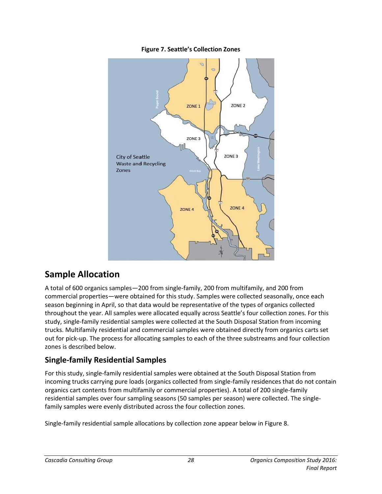

<span id="page-33-0"></span>

# **Sample Allocation**

A total of 600 organics samples—200 from single-family, 200 from multifamily, and 200 from commercial properties—were obtained for this study. Samples were collected seasonally, once each season beginning in April, so that data would be representative of the types of organics collected throughout the year. All samples were allocated equally across Seattle's four collection zones. For this study, single-family residential samples were collected at the South Disposal Station from incoming trucks. Multifamily residential and commercial samples were obtained directly from organics carts set out for pick-up. The process for allocating samples to each of the three substreams and four collection zones is described below.

## **Single-family Residential Samples**

For this study, single-family residential samples were obtained at the South Disposal Station from incoming trucks carrying pure loads (organics collected from single-family residences that do not contain organics cart contents from multifamily or commercial properties). A total of 200 single-family residential samples over four sampling seasons (50 samples per season) were collected. The singlefamily samples were evenly distributed across the four collection zones.

Single-family residential sample allocations by collection zone appear below i[n Figure](#page-34-0) 8.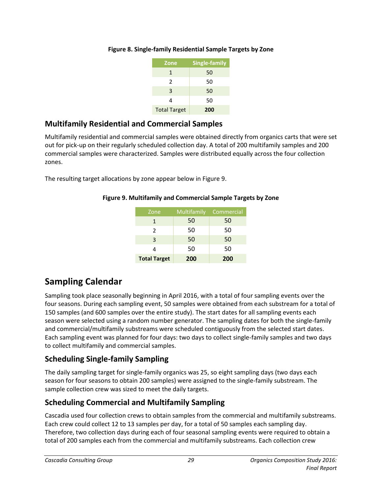| <b>Zone</b>         | <b>Single-family</b> |
|---------------------|----------------------|
| 1                   | 50                   |
| $\mathcal{P}$       | 50                   |
| 3                   | 50                   |
| 4                   | 50                   |
| <b>Total Target</b> | 200                  |

### <span id="page-34-0"></span>**Figure 8. Single-family Residential Sample Targets by Zone**

# **Multifamily Residential and Commercial Samples**

Multifamily residential and commercial samples were obtained directly from organics carts that were set out for pick-up on their regularly scheduled collection day. A total of 200 multifamily samples and 200 commercial samples were characterized. Samples were distributed equally across the four collection zones.

<span id="page-34-1"></span>The resulting target allocations by zone appear below i[n Figure](#page-34-1) 9.

| Zone                | Multifamily | Commercial |
|---------------------|-------------|------------|
| 1                   | 50          | 50         |
| 2                   | 50          | 50         |
| 3                   | 50          | 50         |
|                     | 50          | 50         |
| <b>Total Target</b> | 200         | 200        |

### **Figure 9. Multifamily and Commercial Sample Targets by Zone**

# **Sampling Calendar**

Sampling took place seasonally beginning in April 2016, with a total of four sampling events over the four seasons. During each sampling event, 50 samples were obtained from each substream for a total of 150 samples (and 600 samples over the entire study). The start dates for all sampling events each season were selected using a random number generator. The sampling dates for both the single-family and commercial/multifamily substreams were scheduled contiguously from the selected start dates. Each sampling event was planned for four days: two days to collect single-family samples and two days to collect multifamily and commercial samples.

# **Scheduling Single-family Sampling**

The daily sampling target for single-family organics was 25, so eight sampling days (two days each season for four seasons to obtain 200 samples) were assigned to the single-family substream. The sample collection crew was sized to meet the daily targets.

# **Scheduling Commercial and Multifamily Sampling**

Cascadia used four collection crews to obtain samples from the commercial and multifamily substreams. Each crew could collect 12 to 13 samples per day, for a total of 50 samples each sampling day. Therefore, two collection days during each of four seasonal sampling events were required to obtain a total of 200 samples each from the commercial and multifamily substreams. Each collection crew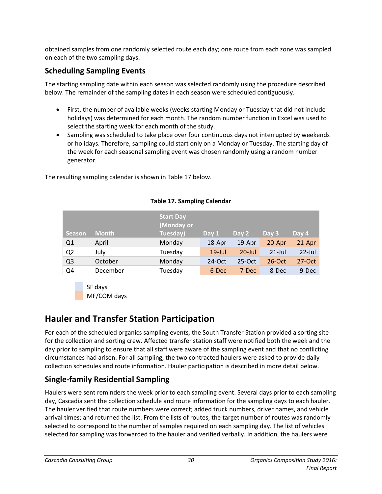obtained samples from one randomly selected route each day; one route from each zone was sampled on each of the two sampling days.

# **Scheduling Sampling Events**

The starting sampling date within each season was selected randomly using the procedure described below. The remainder of the sampling dates in each season were scheduled contiguously.

- First, the number of available weeks (weeks starting Monday or Tuesday that did not include holidays) was determined for each month. The random number function in Excel was used to select the starting week for each month of the study.
- Sampling was scheduled to take place over four continuous days not interrupted by weekends or holidays. Therefore, sampling could start only on a Monday or Tuesday. The starting day of the week for each seasonal sampling event was chosen randomly using a random number generator.

The resulting sampling calendar is shown i[n Table 17](#page-35-0) below.

<span id="page-35-0"></span>

| <b>Season</b>  | <b>Month</b> | <b>Start Day</b><br>(Monday or<br>Tuesday) | Day 1     | Day 2     | Day 3     | Day 4     |
|----------------|--------------|--------------------------------------------|-----------|-----------|-----------|-----------|
| Q <sub>1</sub> | April        | Monday                                     | 18-Apr    | $19$ -Apr | 20-Apr    | 21-Apr    |
| Q <sub>2</sub> | July         | Tuesday                                    | $19$ -Jul | $20$ -Jul | $21$ -Jul | $22$ -Jul |
| Q <sub>3</sub> | October      | Monday                                     | $24$ -Oct | $25-Oct$  | $26$ -Oct | $27-Oct$  |
| Q <sub>4</sub> | December     | Tuesday                                    | 6-Dec     | 7-Dec     | 8-Dec     | 9-Dec     |

### **Table 17. Sampling Calendar**



# **Hauler and Transfer Station Participation**

For each of the scheduled organics sampling events, the South Transfer Station provided a sorting site for the collection and sorting crew. Affected transfer station staff were notified both the week and the day prior to sampling to ensure that all staff were aware of the sampling event and that no conflicting circumstances had arisen. For all sampling, the two contracted haulers were asked to provide daily collection schedules and route information. Hauler participation is described in more detail below.

# **Single-family Residential Sampling**

Haulers were sent reminders the week prior to each sampling event. Several days prior to each sampling day, Cascadia sent the collection schedule and route information for the sampling days to each hauler. The hauler verified that route numbers were correct; added truck numbers, driver names, and vehicle arrival times; and returned the list. From the lists of routes, the target number of routes was randomly selected to correspond to the number of samples required on each sampling day. The list of vehicles selected for sampling was forwarded to the hauler and verified verbally. In addition, the haulers were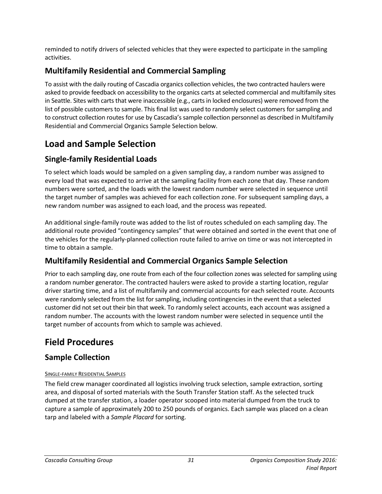reminded to notify drivers of selected vehicles that they were expected to participate in the sampling activities.

# **Multifamily Residential and Commercial Sampling**

To assist with the daily routing of Cascadia organics collection vehicles, the two contracted haulers were asked to provide feedback on accessibility to the organics carts at selected commercial and multifamily sites in Seattle. Sites with carts that were inaccessible (e.g., carts in locked enclosures) were removed from the list of possible customers to sample. This final list was used to randomly select customers for sampling and to construct collection routes for use by Cascadia's sample collection personnel as described in [Multifamily](#page-36-0)  [Residential and Commercial Organics Sample Selection](#page-36-0) below.

# **Load and Sample Selection**

# **Single-family Residential Loads**

To select which loads would be sampled on a given sampling day, a random number was assigned to every load that was expected to arrive at the sampling facility from each zone that day. These random numbers were sorted, and the loads with the lowest random number were selected in sequence until the target number of samples was achieved for each collection zone. For subsequent sampling days, a new random number was assigned to each load, and the process was repeated.

An additional single-family route was added to the list of routes scheduled on each sampling day. The additional route provided "contingency samples" that were obtained and sorted in the event that one of the vehicles for the regularly-planned collection route failed to arrive on time or was not intercepted in time to obtain a sample.

# <span id="page-36-0"></span>**Multifamily Residential and Commercial Organics Sample Selection**

Prior to each sampling day, one route from each of the four collection zones was selected for sampling using a random number generator. The contracted haulers were asked to provide a starting location, regular driver starting time, and a list of multifamily and commercial accounts for each selected route. Accounts were randomly selected from the list for sampling, including contingencies in the event that a selected customer did not set out their bin that week. To randomly select accounts, each account was assigned a random number. The accounts with the lowest random number were selected in sequence until the target number of accounts from which to sample was achieved.

# **Field Procedures**

# **Sample Collection**

### SINGLE-FAMILY RESIDENTIAL SAMPLES

The field crew manager coordinated all logistics involving truck selection, sample extraction, sorting area, and disposal of sorted materials with the South Transfer Station staff. As the selected truck dumped at the transfer station, a loader operator scooped into material dumped from the truck to capture a sample of approximately 200 to 250 pounds of organics. Each sample was placed on a clean tarp and labeled with a *Sample Placard* for sorting.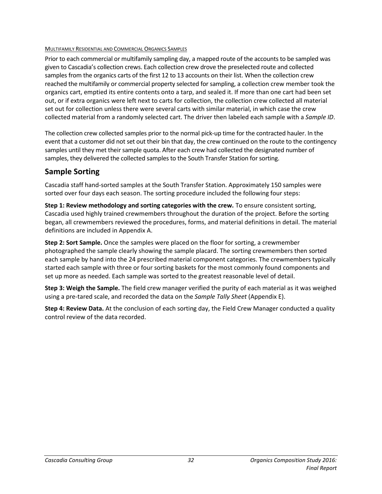#### MULTIFAMILY RESIDENTIAL AND COMMERCIAL ORGANICS SAMPLES

Prior to each commercial or multifamily sampling day, a mapped route of the accounts to be sampled was given to Cascadia's collection crews. Each collection crew drove the preselected route and collected samples from the organics carts of the first 12 to 13 accounts on their list. When the collection crew reached the multifamily or commercial property selected for sampling, a collection crew member took the organics cart, emptied its entire contents onto a tarp, and sealed it. If more than one cart had been set out, or if extra organics were left next to carts for collection, the collection crew collected all material set out for collection unless there were several carts with similar material, in which case the crew collected material from a randomly selected cart. The driver then labeled each sample with a *Sample ID*.

The collection crew collected samples prior to the normal pick-up time for the contracted hauler. In the event that a customer did not set out their bin that day, the crew continued on the route to the contingency samples until they met their sample quota. After each crew had collected the designated number of samples, they delivered the collected samples to the South Transfer Station for sorting.

### **Sample Sorting**

Cascadia staff hand-sorted samples at the South Transfer Station. Approximately 150 samples were sorted over four days each season. The sorting procedure included the following four steps:

**Step 1: Review methodology and sorting categories with the crew.** To ensure consistent sorting, Cascadia used highly trained crewmembers throughout the duration of the project. Before the sorting began, all crewmembers reviewed the procedures, forms, and material definitions in detail. The material definitions are included in Appendix A.

**Step 2: Sort Sample.** Once the samples were placed on the floor for sorting, a crewmember photographed the sample clearly showing the sample placard. The sorting crewmembers then sorted each sample by hand into the 24 prescribed material component categories. The crewmembers typically started each sample with three or four sorting baskets for the most commonly found components and set up more as needed. Each sample was sorted to the greatest reasonable level of detail.

**Step 3: Weigh the Sample.** The field crew manager verified the purity of each material as it was weighed using a pre-tared scale, and recorded the data on the *Sample Tally Sheet* (Appendix E).

**Step 4: Review Data.** At the conclusion of each sorting day, the Field Crew Manager conducted a quality control review of the data recorded.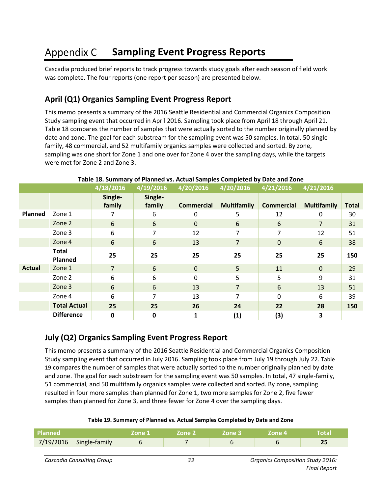#### <span id="page-38-0"></span>**Appendix C Sampling Event Progress Reports**

Cascadia produced brief reports to track progress towards study goals after each season of field work was complete. The four reports (one report per season) are presented below.

## **April (Q1) Organics Sampling Event Progress Report**

This memo presents a summary of the 2016 Seattle Residential and Commercial Organics Composition Study sampling event that occurred in April 2016. Sampling took place from April 18 through April 21. [Table 18](#page-38-1) compares the number of samples that were actually sorted to the number originally planned by date and zone. The goal for each substream for the sampling event was 50 samples. In total, 50 singlefamily, 48 commercial, and 52 multifamily organics samples were collected and sorted. By zone, sampling was one short for Zone 1 and one over for Zone 4 over the sampling days, while the targets were met for Zone 2 and Zone 3.

<span id="page-38-1"></span>

|               |                         | 4/18/2016         | 4/19/2016         | 4/20/2016         | $\sqrt{4/20/2016}$ | 4/21/2016         | 4/21/2016          |              |
|---------------|-------------------------|-------------------|-------------------|-------------------|--------------------|-------------------|--------------------|--------------|
|               |                         | Single-<br>family | Single-<br>family | <b>Commercial</b> | <b>Multifamily</b> | <b>Commercial</b> | <b>Multifamily</b> | <b>Total</b> |
| Planned       | Zone 1                  |                   | 6                 | 0                 | 5                  | 12                | 0                  | 30           |
|               | Zone 2                  | 6                 | 6                 | $\mathbf{0}$      | 6                  | 6                 | $\overline{7}$     | 31           |
|               | Zone 3                  | 6                 | 7                 | 12                | 7                  | 7                 | 12                 | 51           |
|               | Zone 4                  | 6                 | 6                 | 13                | $\overline{7}$     | $\mathbf{0}$      | 6                  | 38           |
|               | <b>Total</b><br>Planned | 25                | 25                | 25                | 25                 | 25                | 25                 | 150          |
| <b>Actual</b> | Zone 1                  | $\overline{7}$    | 6                 | $\mathbf{0}$      | 5                  | 11                | $\mathbf{0}$       | 29           |
|               | Zone 2                  | 6                 | 6                 | $\mathbf 0$       | 5                  | 5                 | 9                  | 31           |
|               | Zone 3                  | 6                 | 6                 | 13                | $\overline{7}$     | 6                 | 13                 | 51           |
|               | Zone 4                  | 6                 | 7                 | 13                | 7                  | $\mathbf 0$       | 6                  | 39           |
|               | <b>Total Actual</b>     | 25                | 25                | 26                | 24                 | 22                | 28                 | 150          |
|               | <b>Difference</b>       | 0                 | 0                 | $\mathbf{1}$      | (1)                | (3)               | 3                  |              |

#### **Table 18. Summary of Planned vs. Actual Samples Completed by Date and Zone**

## **July (Q2) Organics Sampling Event Progress Report**

This memo presents a summary of the 2016 Seattle Residential and Commercial Organics Composition Study sampling event that occurred in July 2016. Sampling took place from July 19 through July 22. [Table](#page-38-2)  [19](#page-38-2) compares the number of samples that were actually sorted to the number originally planned by date and zone. The goal for each substream for the sampling event was 50 samples. In total, 47 single-family, 51 commercial, and 50 multifamily organics samples were collected and sorted. By zone, sampling resulted in four more samples than planned for Zone 1, two more samples for Zone 2, five fewer samples than planned for Zone 3, and three fewer for Zone 4 over the sampling days.

#### **Table 19. Summary of Planned vs. Actual Samples Completed by Date and Zone**

<span id="page-38-2"></span>

| Planned |                           | 'Zone 1 | <b>Zone 2</b> | Zone 3 | - Zone 4' | Total |
|---------|---------------------------|---------|---------------|--------|-----------|-------|
|         | $7/19/2016$ Single-family |         |               |        |           |       |
|         |                           |         |               |        |           |       |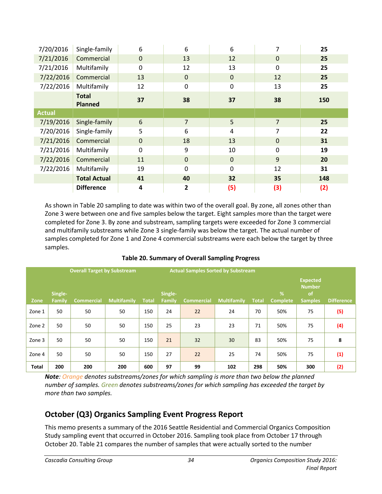| 7/20/2016     | Single-family                  | 6            | 6              | 6                | 7              | 25  |
|---------------|--------------------------------|--------------|----------------|------------------|----------------|-----|
| 7/21/2016     | Commercial                     | $\mathbf 0$  | 13             | 12               | $\mathbf{0}$   | 25  |
| 7/21/2016     | Multifamily                    | $\mathbf 0$  | 12             | 13               | $\mathbf 0$    | 25  |
| 7/22/2016     | Commercial                     | 13           | 0              | $\mathbf{0}$     | 12             | 25  |
| 7/22/2016     | Multifamily                    | 12           | 0              | $\boldsymbol{0}$ | 13             | 25  |
|               | <b>Total</b><br><b>Planned</b> | 37           | 38             | 37               | 38             | 150 |
| <b>Actual</b> |                                |              |                |                  |                |     |
| 7/19/2016     | Single-family                  | $6\,$        | $\overline{7}$ | 5                | $\overline{7}$ | 25  |
| 7/20/2016     | Single-family                  | 5            | 6              | 4                | $\overline{7}$ | 22  |
| 7/21/2016     | Commercial                     | $\mathbf{0}$ | 18             | 13               | $\mathbf{0}$   | 31  |
| 7/21/2016     | Multifamily                    | $\mathbf 0$  | 9              | 10               | $\mathbf 0$    | 19  |
| 7/22/2016     | Commercial                     | 11           | $\mathbf 0$    | $\mathbf 0$      | 9              | 20  |
| 7/22/2016     | Multifamily                    | 19           | 0              | $\mathbf 0$      | 12             | 31  |
|               | <b>Total Actual</b>            | 41           | 40             | 32               | 35             | 148 |
|               | <b>Difference</b>              | 4            | 2              | (5)              | (3)            | (2) |

As shown in [Table 20](#page-39-0) sampling to date was within two of the overall goal. By zone, all zones other than Zone 3 were between one and five samples below the target. Eight samples more than the target were completed for Zone 3. By zone and substream, sampling targets were exceeded for Zone 3 commercial and multifamily substreams while Zone 3 single-family was below the target. The actual number of samples completed for Zone 1 and Zone 4 commercial substreams were each below the target by three samples.

<span id="page-39-0"></span>

|              | <b>Overall Target by Substream</b><br><b>Actual Samples Sorted by Substream</b> |                   |                    |              |                          |                   |                    |              |                      |                                                                     |                   |
|--------------|---------------------------------------------------------------------------------|-------------------|--------------------|--------------|--------------------------|-------------------|--------------------|--------------|----------------------|---------------------------------------------------------------------|-------------------|
| Zone         | Single-<br>Family                                                               | <b>Commercial</b> | <b>Multifamily</b> | <b>Total</b> | Single-<br><b>Family</b> | <b>Commercial</b> | <b>Multifamily</b> | <b>Total</b> | %<br><b>Complete</b> | <b>Expected</b><br><b>Number</b><br><sub>of</sub><br><b>Samples</b> | <b>Difference</b> |
| Zone 1       | 50                                                                              | 50                | 50                 | 150          | 24                       | 22                | 24                 | 70           | 50%                  | 75                                                                  | (5)               |
| Zone 2       | 50                                                                              | 50                | 50                 | 150          | 25                       | 23                | 23                 | 71           | 50%                  | 75                                                                  | (4)               |
| Zone 3       | 50                                                                              | 50                | 50                 | 150          | 21                       | 32                | 30                 | 83           | 50%                  | 75                                                                  | 8                 |
| Zone 4       | 50                                                                              | 50                | 50                 | 150          | 27                       | 22                | 25                 | 74           | 50%                  | 75                                                                  | (1)               |
| <b>Total</b> | 200                                                                             | 200               | 200                | 600          | 97                       | 99                | 102                | 298          | 50%                  | 300                                                                 | (2)               |

**Table 20. Summary of Overall Sampling Progress**

*Note: Orange denotes substreams/zones for which sampling is more than two below the planned number of samples. Green denotes substreams/zones for which sampling has exceeded the target by more than two samples.* 

# **October (Q3) Organics Sampling Event Progress Report**

This memo presents a summary of the 2016 Seattle Residential and Commercial Organics Composition Study sampling event that occurred in October 2016. Sampling took place from October 17 through October 20[. Table 21](#page-40-0) compares the number of samples that were actually sorted to the number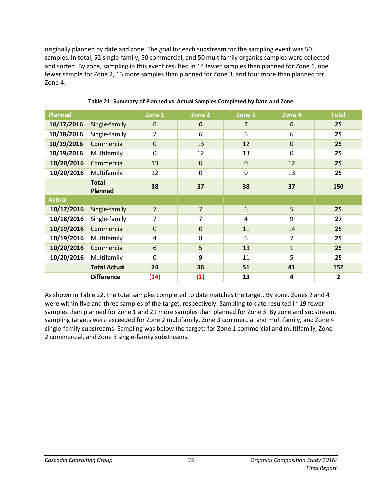originally planned by date and zone. The goal for each substream for the sampling event was 50 samples. In total, 52 single-family, 50 commercial, and 50 multifamily organics samples were collected and sorted. By zone, sampling in this event resulted in 14 fewer samples than planned for Zone 1, one fewer sample for Zone 2, 13 more samples than planned for Zone 3, and four more than planned for Zone 4.

<span id="page-40-0"></span>

| <b>Planned</b> |                                | Zone 1         | Zone 2         | Zone 3          | Zone 4           | <b>Total</b> |
|----------------|--------------------------------|----------------|----------------|-----------------|------------------|--------------|
| 10/17/2016     | Single-family                  | 6              | 6              | 7               | 6                | 25           |
| 10/18/2016     | Single-family                  | $\overline{7}$ | 6              | 6               | 6                | 25           |
| 10/19/2016     | Commercial                     | $\mathbf 0$    | 13             | 12              | $\pmb{0}$        | 25           |
| 10/19/2016     | Multifamily                    | $\mathbf 0$    | 12             | 13              | $\boldsymbol{0}$ | 25           |
| 10/20/2016     | Commercial                     | 13             | $\mathbf{0}$   | $\mathbf{0}$    | 12               | 25           |
| 10/20/2016     | Multifamily                    | 12             | 0              | $\Omega$        | 13               | 25           |
|                | <b>Total</b><br><b>Planned</b> | 38             | 37             | 38              | 37               | 150          |
| <b>Actual</b>  |                                |                |                |                 |                  |              |
| 10/17/2016     | Single-family                  | $\overline{7}$ | $\overline{7}$ | $6\phantom{1}6$ | 5                | 25           |
| 10/18/2016     | Single-family                  | $\overline{7}$ | $\overline{7}$ | 4               | 9                | 27           |
| 10/19/2016     | Commercial                     | $\mathbf 0$    | $\pmb{0}$      | 11              | 14               | 25           |
| 10/19/2016     | Multifamily                    | 4              | 8              | 6               | 7                | 25           |
| 10/20/2016     | Commercial                     | 6              | 5              | 13              | $\mathbf{1}$     | 25           |
| 10/20/2016     | Multifamily                    | $\mathbf 0$    | 9              | 11              | 5                | 25           |
|                | <b>Total Actual</b>            | 24             | 36             | 51              | 41               | 152          |
|                | <b>Difference</b>              | (14)           | (1)            | 13              | 4                | $\mathbf{2}$ |

**Table 21. Summary of Planned vs. Actual Samples Completed by Date and Zone**

As shown in [Table 22,](#page-41-0) the total samples completed to date matches the target. By zone, Zones 2 and 4 were within five and three samples of the target, respectively. Sampling to date resulted in 19 fewer samples than planned for Zone 1 and 21 more samples than planned for Zone 3. By zone and substream, sampling targets were exceeded for Zone 2 multifamily, Zone 3 commercial and multifamily, and Zone 4 single-family substreams. Sampling was below the targets for Zone 1 commercial and multifamily, Zone 2 commercial, and Zone 3 single-family substreams.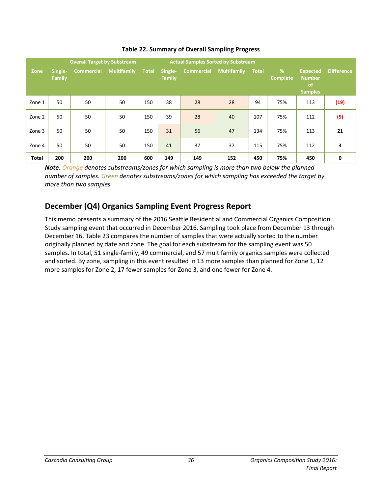<span id="page-41-0"></span>

|              |                   | <b>Overall Target by Substream</b> |                    |              | <b>Actual Samples Sorted by Substream</b> |                   |                    |              |                      |                                                   |                   |
|--------------|-------------------|------------------------------------|--------------------|--------------|-------------------------------------------|-------------------|--------------------|--------------|----------------------|---------------------------------------------------|-------------------|
| Zone         | Single-<br>Family | <b>Commercial</b>                  | <b>Multifamily</b> | <b>Total</b> | Single-<br>Family                         | <b>Commercial</b> | <b>Multifamily</b> | <b>Total</b> | %<br><b>Complete</b> | <b>Expected</b><br><b>Number</b><br>of<br>Samples | <b>Difference</b> |
| Zone 1       | 50                | 50                                 | 50                 | 150          | 38                                        | 28                | 28                 | 94           | 75%                  | 113                                               | (19)              |
| Zone 2       | 50                | 50                                 | 50                 | 150          | 39                                        | 28                | 40                 | 107          | 75%                  | 112                                               | (5)               |
| Zone 3       | 50                | 50                                 | 50                 | 150          | 31                                        | 56                | 47                 | 134          | 75%                  | 113                                               | 21                |
| Zone 4       | 50                | 50                                 | 50                 | 150          | 41                                        | 37                | 37                 | 115          | 75%                  | 112                                               | 3                 |
| <b>Total</b> | 200               | 200                                | 200                | 600          | 149                                       | 149               | 152                | 450          | 75%                  | 450                                               | 0                 |

### **Table 22. Summary of Overall Sampling Progress**

*Note: Orange denotes substreams/zones for which sampling is more than two below the planned number of samples. Green denotes substreams/zones for which sampling has exceeded the target by more than two samples.* 

# **December (Q4) Organics Sampling Event Progress Report**

This memo presents a summary of the 2016 Seattle Residential and Commercial Organics Composition Study sampling event that occurred in December 2016. Sampling took place from December 13 through December 16. [Table 23](#page-42-0) compares the number of samples that were actually sorted to the number originally planned by date and zone. The goal for each substream for the sampling event was 50 samples. In total, 51 single-family, 49 commercial, and 57 multifamily organics samples were collected and sorted. By zone, sampling in this event resulted in 13 more samples than planned for Zone 1, 12 more samples for Zone 2, 17 fewer samples for Zone 3, and one fewer for Zone 4.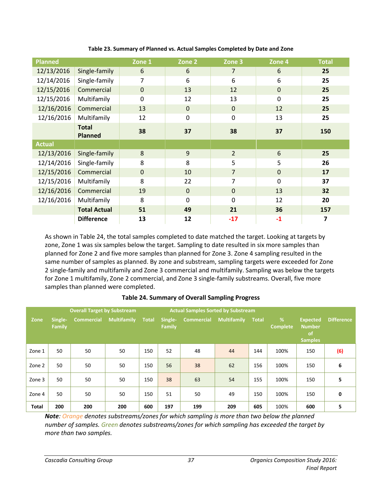<span id="page-42-0"></span>

| <b>Planned</b> |                                | Zone 1         | Zone 2      | Zone 3         | Zone 4       | <b>Total</b> |
|----------------|--------------------------------|----------------|-------------|----------------|--------------|--------------|
| 12/13/2016     | Single-family                  | 6              | 6           | 7              | 6            | 25           |
| 12/14/2016     | Single-family                  | $\overline{7}$ | 6           | 6              | 6            | 25           |
| 12/15/2016     | Commercial                     | $\mathbf{0}$   | 13          | 12             | $\mathbf{0}$ | 25           |
| 12/15/2016     | Multifamily                    | $\mathbf 0$    | 12          | 13             | 0            | 25           |
| 12/16/2016     | Commercial                     | 13             | $\mathbf 0$ | $\mathbf{0}$   | 12           | 25           |
| 12/16/2016     | Multifamily                    | 12             | $\mathbf 0$ | $\mathbf 0$    | 13           | 25           |
|                | <b>Total</b><br><b>Planned</b> | 38             | 37          | 38             | 37           | 150          |
| <b>Actual</b>  |                                |                |             |                |              |              |
| 12/13/2016     | Single-family                  | 8              | 9           | $\overline{2}$ | 6            | 25           |
| 12/14/2016     | Single-family                  | 8              | 8           | 5              | 5            | 26           |
| 12/15/2016     | Commercial                     | $\mathbf{0}$   | 10          | $\overline{7}$ | $\mathbf{0}$ | 17           |
| 12/15/2016     | Multifamily                    | 8              | 22          | 7              | $\mathbf 0$  | 37           |
| 12/16/2016     | Commercial                     | 19             | $\mathbf 0$ | $\mathbf 0$    | 13           | 32           |
| 12/16/2016     | Multifamily                    | 8              | $\mathbf 0$ | $\Omega$       | 12           | 20           |
|                | <b>Total Actual</b>            | 51             | 49          | 21             | 36           | 157          |
|                | <b>Difference</b>              | 13             | 12          | $-17$          | $-1$         | 7            |

**Table 23. Summary of Planned vs. Actual Samples Completed by Date and Zone**

As shown in [Table 24,](#page-42-1) the total samples completed to date matched the target. Looking at targets by zone, Zone 1 was six samples below the target. Sampling to date resulted in six more samples than planned for Zone 2 and five more samples than planned for Zone 3. Zone 4 sampling resulted in the same number of samples as planned. By zone and substream, sampling targets were exceeded for Zone 2 single-family and multifamily and Zone 3 commercial and multifamily. Sampling was below the targets for Zone 1 multifamily, Zone 2 commercial, and Zone 3 single-family substreams. Overall, five more samples than planned were completed.

<span id="page-42-1"></span>

|              |                   | <b>Overall Target by Substream</b> |                    | <b>Actual Samples Sorted by Substream</b> |                          |                   |                    |              |                      |                                                          |                   |
|--------------|-------------------|------------------------------------|--------------------|-------------------------------------------|--------------------------|-------------------|--------------------|--------------|----------------------|----------------------------------------------------------|-------------------|
| Zone         | Single-<br>Family | <b>Commercial</b>                  | <b>Multifamily</b> | Total                                     | Single-<br><b>Family</b> | <b>Commercial</b> | <b>Multifamily</b> | <b>Total</b> | %<br><b>Complete</b> | <b>Expected</b><br><b>Number</b><br>of<br><b>Samples</b> | <b>Difference</b> |
| Zone 1       | 50                | 50                                 | 50                 | 150                                       | 52                       | 48                | 44                 | 144          | 100%                 | 150                                                      | (6)               |
| Zone 2       | 50                | 50                                 | 50                 | 150                                       | 56                       | 38                | 62                 | 156          | 100%                 | 150                                                      | 6                 |
| Zone 3       | 50                | 50                                 | 50                 | 150                                       | 38                       | 63                | 54                 | 155          | 100%                 | 150                                                      | 5                 |
| Zone 4       | 50                | 50                                 | 50                 | 150                                       | 51                       | 50                | 49                 | 150          | 100%                 | 150                                                      | 0                 |
| <b>Total</b> | 200               | 200                                | 200                | 600                                       | 197                      | 199               | 209                | 605          | 100%                 | 600                                                      | 5                 |

#### **Table 24. Summary of Overall Sampling Progress**

*Note: Orange denotes substreams/zones for which sampling is more than two below the planned number of samples. Green denotes substreams/zones for which sampling has exceeded the target by more than two samples.*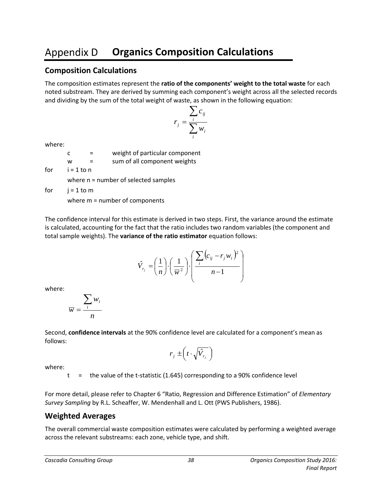#### <span id="page-43-0"></span>**Appendix D Organics Composition Calculations**

### **Composition Calculations**

The composition estimates represent the **ratio of the components' weight to the total waste** for each noted substream. They are derived by summing each component's weight across all the selected records and dividing by the sum of the total weight of waste, as shown in the following equation:

$$
r_j = \frac{\sum_i c_{ij}}{\sum_i w_i}
$$

where:

|     | C.           | weight of particular component         |
|-----|--------------|----------------------------------------|
|     | w            | sum of all component weights           |
| for | $i = 1$ to n |                                        |
|     |              | where $n =$ number of selected samples |
| for | j = 1 to m   |                                        |

where m = number of components

The confidence interval for this estimate is derived in two steps. First, the variance around the estimate is calculated, accounting for the fact that the ratio includes two random variables (the component and total sample weights). The **variance of the ratio estimator** equation follows:

$$
\hat{V}_{r_j} = \left(\frac{1}{n}\right) \cdot \left(\frac{1}{\overline{w}^2}\right) \cdot \left(\frac{\sum_{i} (c_{ij} - r_j w_i)^2}{n - 1}\right)
$$

where:

$$
\overline{w} = \frac{\sum_i w_i}{n}
$$

Second, **confidence intervals** at the 90% confidence level are calculated for a component's mean as follows:

$$
r_j \pm \left(t \cdot \sqrt{\hat{V}_{r_j}}\,\right)
$$

where:

 $t =$  the value of the t-statistic (1.645) corresponding to a 90% confidence level

For more detail, please refer to Chapter 6 "Ratio, Regression and Difference Estimation" of *Elementary Survey Sampling* by R.L. Scheaffer, W. Mendenhall and L. Ott (PWS Publishers, 1986).

### **Weighted Averages**

The overall commercial waste composition estimates were calculated by performing a weighted average across the relevant substreams: each zone, vehicle type, and shift.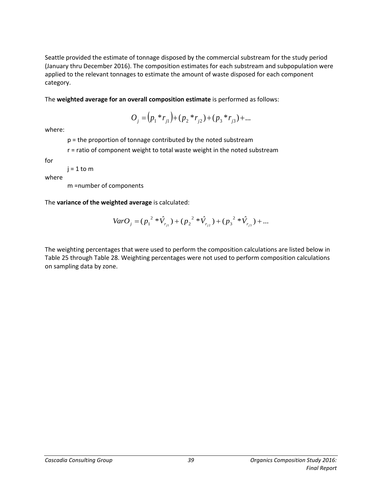Seattle provided the estimate of tonnage disposed by the commercial substream for the study period (January thru December 2016). The composition estimates for each substream and subpopulation were applied to the relevant tonnages to estimate the amount of waste disposed for each component category.

The **weighted average for an overall composition estimate** is performed as follows:

$$
O_j = (p_1 * r_{j1}) + (p_2 * r_{j2}) + (p_3 * r_{j3}) + \dots
$$

where:

p = the proportion of tonnage contributed by the noted substream

r = ratio of component weight to total waste weight in the noted substream

for

 $j = 1$  to m

where

m =number of components

The **variance of the weighted average** is calculated:

$$
VarO_j = (p_1^{2} * \hat{V}_{r_{j1}}) + (p_2^{2} * \hat{V}_{r_{j2}}) + (p_3^{2} * \hat{V}_{r_{j3}}) + ...
$$

The weighting percentages that were used to perform the composition calculations are listed below in [Table 25](#page-45-0) through [Table 28.](#page-46-0) Weighting percentages were not used to perform composition calculations on sampling data by zone.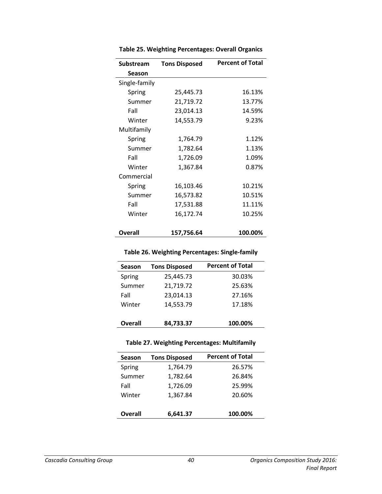<span id="page-45-0"></span>

| Substream     | <b>Tons Disposed</b> | <b>Percent of Total</b> |
|---------------|----------------------|-------------------------|
| <b>Season</b> |                      |                         |
| Single-family |                      |                         |
| Spring        | 25,445.73            | 16.13%                  |
| Summer        | 21,719.72            | 13.77%                  |
| Fall          | 23,014.13            | 14.59%                  |
| Winter        | 14,553.79            | 9.23%                   |
| Multifamily   |                      |                         |
| Spring        | 1,764.79             | 1.12%                   |
| Summer        | 1,782.64             | 1.13%                   |
| Fall          | 1,726.09             | 1.09%                   |
| Winter        | 1,367.84             | 0.87%                   |
| Commercial    |                      |                         |
| Spring        | 16,103.46            | 10.21%                  |
| Summer        | 16,573.82            | 10.51%                  |
| Fall          | 17,531.88            | 11.11%                  |
| Winter        | 16,172.74            | 10.25%                  |
| Overall       | 157,756.64           | 100.00%                 |

**Table 25. Weighting Percentages: Overall Organics**

### **Table 26. Weighting Percentages: Single-family**

<span id="page-45-1"></span>

| <b>Tons Disposed</b> | <b>Percent of Total</b> |
|----------------------|-------------------------|
| 25,445.73            | 30.03%                  |
| 21,719.72            | 25.63%                  |
| 23,014.13            | 27.16%                  |
| 14,553.79            | 17.18%                  |
|                      |                         |
| 84,733.37            | 100.00%                 |
|                      |                         |

### **Table 27. Weighting Percentages: Multifamily**

<span id="page-45-2"></span>

| Season         | <b>Tons Disposed</b> | <b>Percent of Total</b> |
|----------------|----------------------|-------------------------|
| Spring         | 1,764.79             | 26.57%                  |
| Summer         | 1,782.64             | 26.84%                  |
| Fall           | 1,726.09             | 25.99%                  |
| Winter         | 1,367.84             | 20.60%                  |
| <b>Overall</b> | 6,641.37             | 100.00%                 |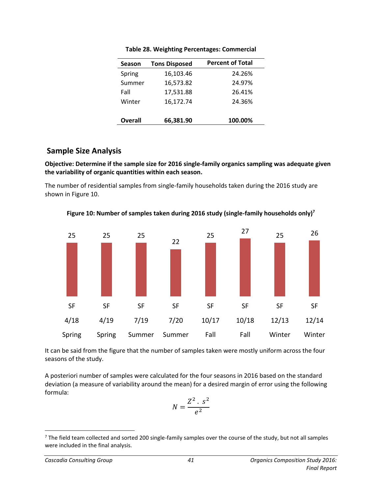<span id="page-46-0"></span>

| <b>Season</b> | <b>Tons Disposed</b> | <b>Percent of Total</b> |
|---------------|----------------------|-------------------------|
| Spring        | 16,103.46            | 24.26%                  |
| Summer        | 16,573.82            | 24.97%                  |
| Fall          | 17,531.88            | 26.41%                  |
| Winter        | 16,172.74            | 24.36%                  |
|               |                      |                         |
| Overall       | 66,381.90            | 100.00%                 |

**Table 28. Weighting Percentages: Commercial**

### **Sample Size Analysis**

**Objective: Determine if the sample size for 2016 single-family organics sampling was adequate given the variability of organic quantities within each season.**

The number of residential samples from single-family households taken during the 2016 study are shown in [Figure 10.](#page-46-1)

25 25 25 22 25 27 25 26 SF SF SF SF SF SF SF SF 4/18 4/19 7/19 7/20 10/17 10/18 12/13 12/14 Spring Spring Summer Summer Fall Fall Winter Winter

<span id="page-46-1"></span>**Figure 10: Number of samples taken during 2016 study (single-family households only)<sup>7</sup>**

It can be said from the figure that the number of samples taken were mostly uniform across the four seasons of the study.

A posteriori number of samples were calculated for the four seasons in 2016 based on the standard deviation (a measure of variability around the mean) for a desired margin of error using the following formula:

$$
N=\frac{Z^2 \cdot s^2}{e^2}
$$

 $\overline{\phantom{a}}$  $<sup>7</sup>$  The field team collected and sorted 200 single-family samples over the course of the study, but not all samples</sup> were included in the final analysis.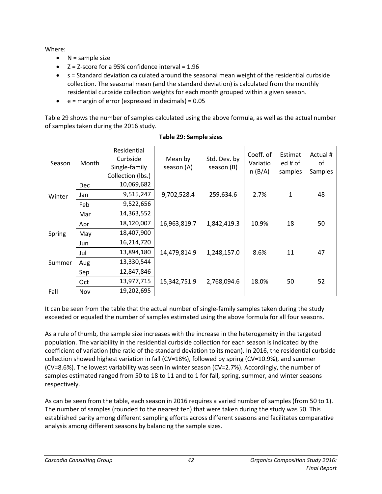Where:

- $\bullet$  N = sample size
- $\bullet$   $\leq$  Z = Z-score for a 95% confidence interval = 1.96
- s = Standard deviation calculated around the seasonal mean weight of the residential curbside collection. The seasonal mean (and the standard deviation) is calculated from the monthly residential curbside collection weights for each month grouped within a given season.
- $\bullet$  e = margin of error (expressed in decimals) = 0.05

[Table 29](#page-47-0) shows the number of samples calculated using the above formula, as well as the actual number of samples taken during the 2016 study.

<span id="page-47-0"></span>

| Season | Month      | Residential<br>Curbside<br>Single-family<br>Collection (lbs.) | Mean by<br>season (A) | Std. Dev. by<br>season (B) | Coeff. of<br>Variatio<br>n(B/A) | Estimat<br>ed # of<br>samples | Actual #<br>οf<br>Samples |
|--------|------------|---------------------------------------------------------------|-----------------------|----------------------------|---------------------------------|-------------------------------|---------------------------|
|        | <b>Dec</b> | 10,069,682                                                    |                       |                            |                                 |                               |                           |
| Winter | Jan        | 9,515,247                                                     | 9,702,528.4           | 259,634.6                  | 2.7%                            | $\mathbf{1}$                  | 48                        |
|        | Feb        | 9,522,656                                                     |                       |                            |                                 |                               |                           |
|        | Mar        | 14,363,552                                                    |                       |                            |                                 |                               |                           |
|        | Apr        | 18,120,007                                                    | 16,963,819.7          | 1,842,419.3                | 10.9%                           | 18                            | 50                        |
| Spring | May        | 18,407,900                                                    |                       |                            |                                 |                               |                           |
|        | Jun        | 16,214,720                                                    |                       |                            |                                 |                               |                           |
|        | Jul        | 13,894,180                                                    | 14,479,814.9          | 1,248,157.0                | 8.6%                            | 11                            | 47                        |
| Summer | Aug        | 13,330,544                                                    |                       |                            |                                 |                               |                           |
|        | Sep        | 12,847,846                                                    |                       |                            |                                 |                               |                           |
|        | <b>Oct</b> | 13,977,715                                                    | 15,342,751.9          | 2,768,094.6                | 18.0%                           | 50                            | 52                        |
| Fall   | Nov        | 19,202,695                                                    |                       |                            |                                 |                               |                           |

### **Table 29: Sample sizes**

It can be seen from the table that the actual number of single-family samples taken during the study exceeded or equaled the number of samples estimated using the above formula for all four seasons.

As a rule of thumb, the sample size increases with the increase in the heterogeneity in the targeted population. The variability in the residential curbside collection for each season is indicated by the coefficient of variation (the ratio of the standard deviation to its mean). In 2016, the residential curbside collection showed highest variation in fall (CV=18%), followed by spring (CV=10.9%), and summer (CV=8.6%). The lowest variability was seen in winter season (CV=2.7%). Accordingly, the number of samples estimated ranged from 50 to 18 to 11 and to 1 for fall, spring, summer, and winter seasons respectively.

As can be seen from the table, each season in 2016 requires a varied number of samples (from 50 to 1). The number of samples (rounded to the nearest ten) that were taken during the study was 50. This established parity among different sampling efforts across different seasons and facilitates comparative analysis among different seasons by balancing the sample sizes.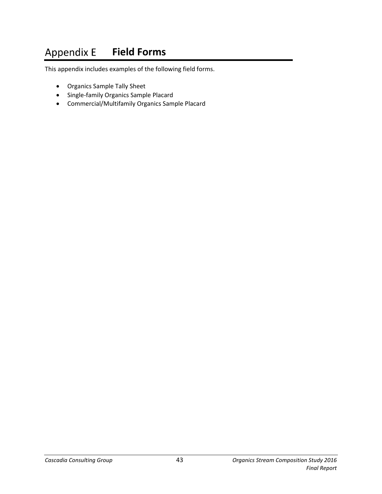#### <span id="page-48-0"></span>**Appendix E Field Forms**

This appendix includes examples of the following field forms.

- Organics Sample Tally Sheet
- Single-family Organics Sample Placard
- Commercial/Multifamily Organics Sample Placard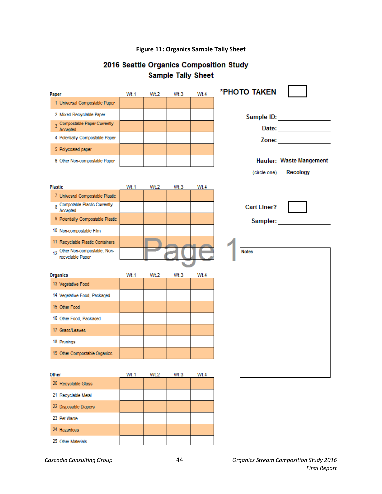### **Figure 11: Organics Sample Tally Sheet**

## 2016 Seattle Organics Composition Study **Sample Tally Sheet**

<span id="page-49-0"></span>

| Paper                                              | Wt.1        | Wt.2 | Wt.3 | Wt.4 | *PHOTO TAKEN       |                                                                                                                                                                                                                                |
|----------------------------------------------------|-------------|------|------|------|--------------------|--------------------------------------------------------------------------------------------------------------------------------------------------------------------------------------------------------------------------------|
| 1 Universal Compostable Paper                      |             |      |      |      |                    |                                                                                                                                                                                                                                |
| 2 Mixed Recyclable Paper                           |             |      |      |      |                    | Sample ID: Analysis and the sample in the same of the same of the same of the same of the same of the same of the same of the same of the same of the same of the same of the same of the same of the same of the same of the  |
| 3 Compostable Paper Currently<br>Accepted          |             |      |      |      |                    | Date: ______________                                                                                                                                                                                                           |
| 4 Potentially Compostable Paper                    |             |      |      |      |                    | Zone: where the contract of the contract of the contract of the contract of the contract of the contract of the contract of the contract of the contract of the contract of the contract of the contract of the contract of th |
| 5 Polycoated paper                                 |             |      |      |      |                    |                                                                                                                                                                                                                                |
| 6 Other Non-compostable Paper                      |             |      |      |      |                    | Hauler: Waste Mangement                                                                                                                                                                                                        |
|                                                    |             |      |      |      | (circle one)       | <b>Recology</b>                                                                                                                                                                                                                |
|                                                    |             |      |      |      |                    |                                                                                                                                                                                                                                |
| <b>Plastic</b>                                     | Wt.1        | Wt.2 | Wt.3 | Wt.4 |                    |                                                                                                                                                                                                                                |
| 7 Univesral Compostable Plastic                    |             |      |      |      |                    |                                                                                                                                                                                                                                |
| 8 Compotable Plastic Currently<br>Accepted         |             |      |      |      | <b>Cart Liner?</b> |                                                                                                                                                                                                                                |
| 9 Potentially Compostable Plastic                  |             |      |      |      | Sampler:           |                                                                                                                                                                                                                                |
| 10 Non-compostable Film                            |             |      |      |      |                    |                                                                                                                                                                                                                                |
| 11 Recyclable Plastic Containers                   |             |      |      |      |                    |                                                                                                                                                                                                                                |
| 12 Other Non-compostable, Non-<br>recyclable Paper |             |      |      |      | <b>Notes</b>       |                                                                                                                                                                                                                                |
|                                                    |             |      |      |      |                    |                                                                                                                                                                                                                                |
| Organics                                           | Wt.1        | Wt.2 | Wt.3 | Wt.4 |                    |                                                                                                                                                                                                                                |
| 13 Vegetative Food                                 |             |      |      |      |                    |                                                                                                                                                                                                                                |
| 14 Vegetative Food, Packaged                       |             |      |      |      |                    |                                                                                                                                                                                                                                |
| 15 Other Food                                      |             |      |      |      |                    |                                                                                                                                                                                                                                |
| 16 Other Food, Packaged                            |             |      |      |      |                    |                                                                                                                                                                                                                                |
| 17 Grass/Leaves                                    |             |      |      |      |                    |                                                                                                                                                                                                                                |
| 18 Prunings                                        |             |      |      |      |                    |                                                                                                                                                                                                                                |
| 19 Other Compostable Organics                      |             |      |      |      |                    |                                                                                                                                                                                                                                |
|                                                    |             |      |      |      |                    |                                                                                                                                                                                                                                |
| Other                                              |             |      |      |      |                    |                                                                                                                                                                                                                                |
|                                                    | <b>Wt.1</b> | Wt.2 | Wt.3 | Wt.4 |                    |                                                                                                                                                                                                                                |
| 20 Recyclable Glass                                |             |      |      |      |                    |                                                                                                                                                                                                                                |
| 21 Recyclable Metal                                |             |      |      |      |                    |                                                                                                                                                                                                                                |
| 22 Disposable Diapers                              |             |      |      |      |                    |                                                                                                                                                                                                                                |
| 23 Pet Waste                                       |             |      |      |      |                    |                                                                                                                                                                                                                                |
| 24 Hazardous                                       |             |      |      |      |                    |                                                                                                                                                                                                                                |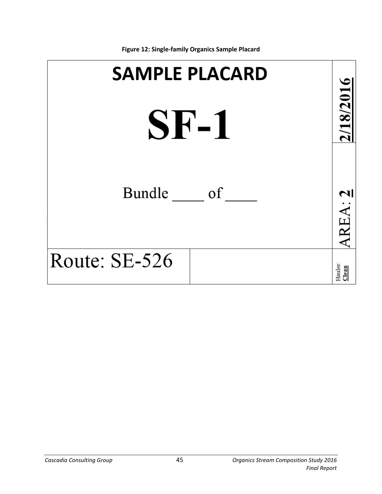<span id="page-50-0"></span>

**Figure 12: Single-family Organics Sample Placard**